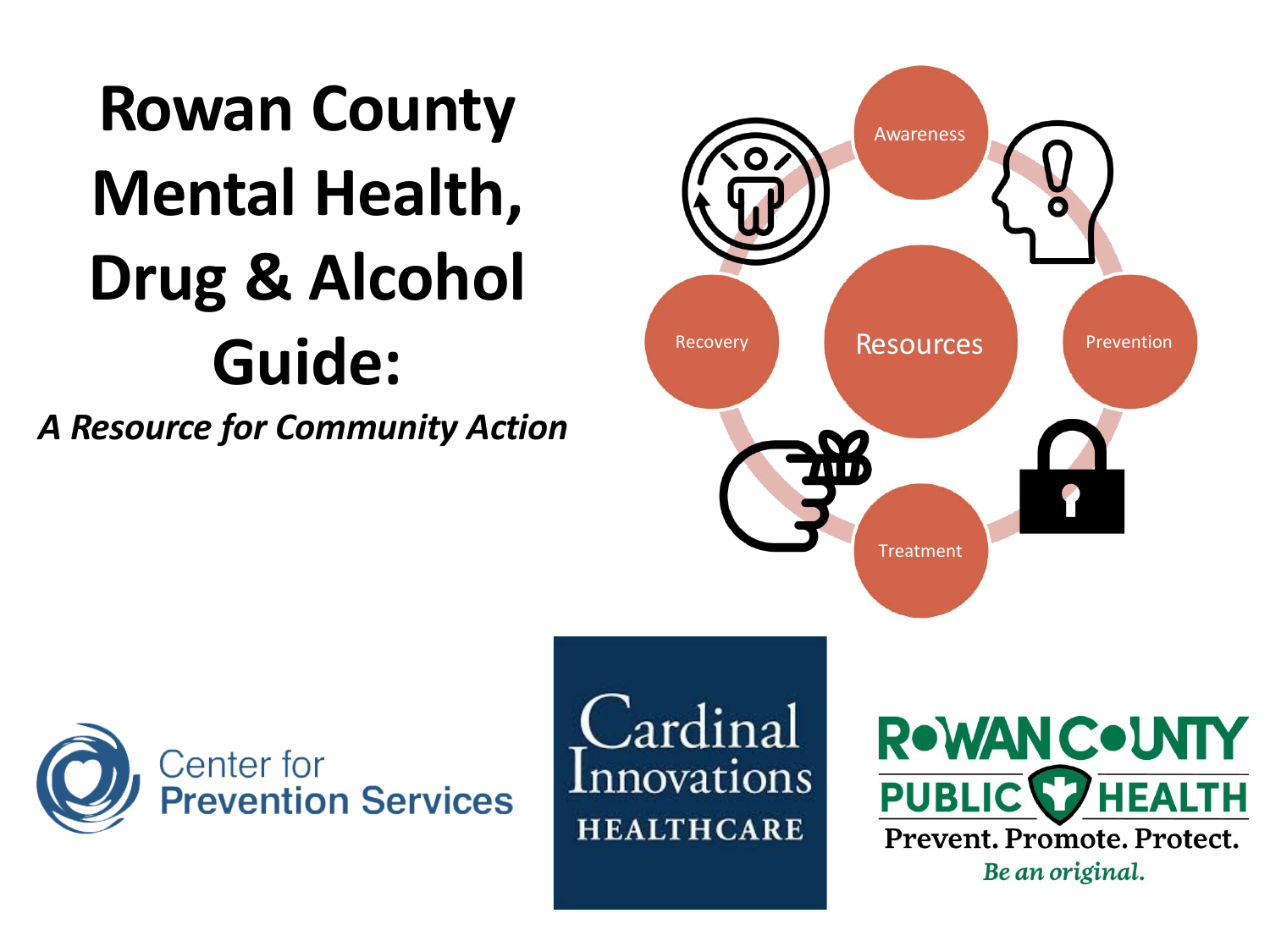# **Rowan County Mental Health, Drug & Alcohol Guide:**

*A Resource for Community Action*





Cardinal Innovations **HEALTHCARE** 

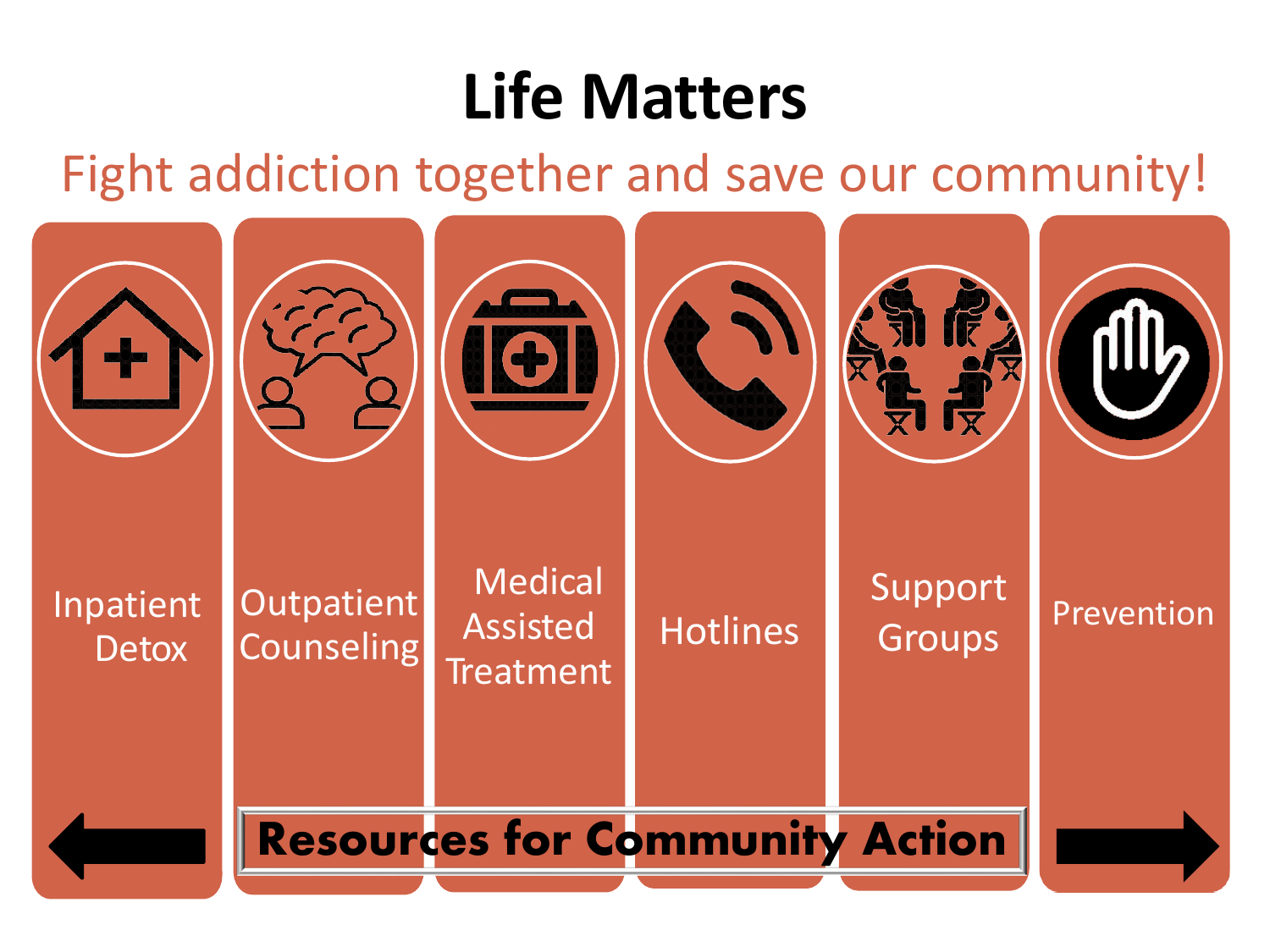#### **Life Matters**

#### Fight addiction together and save our community!

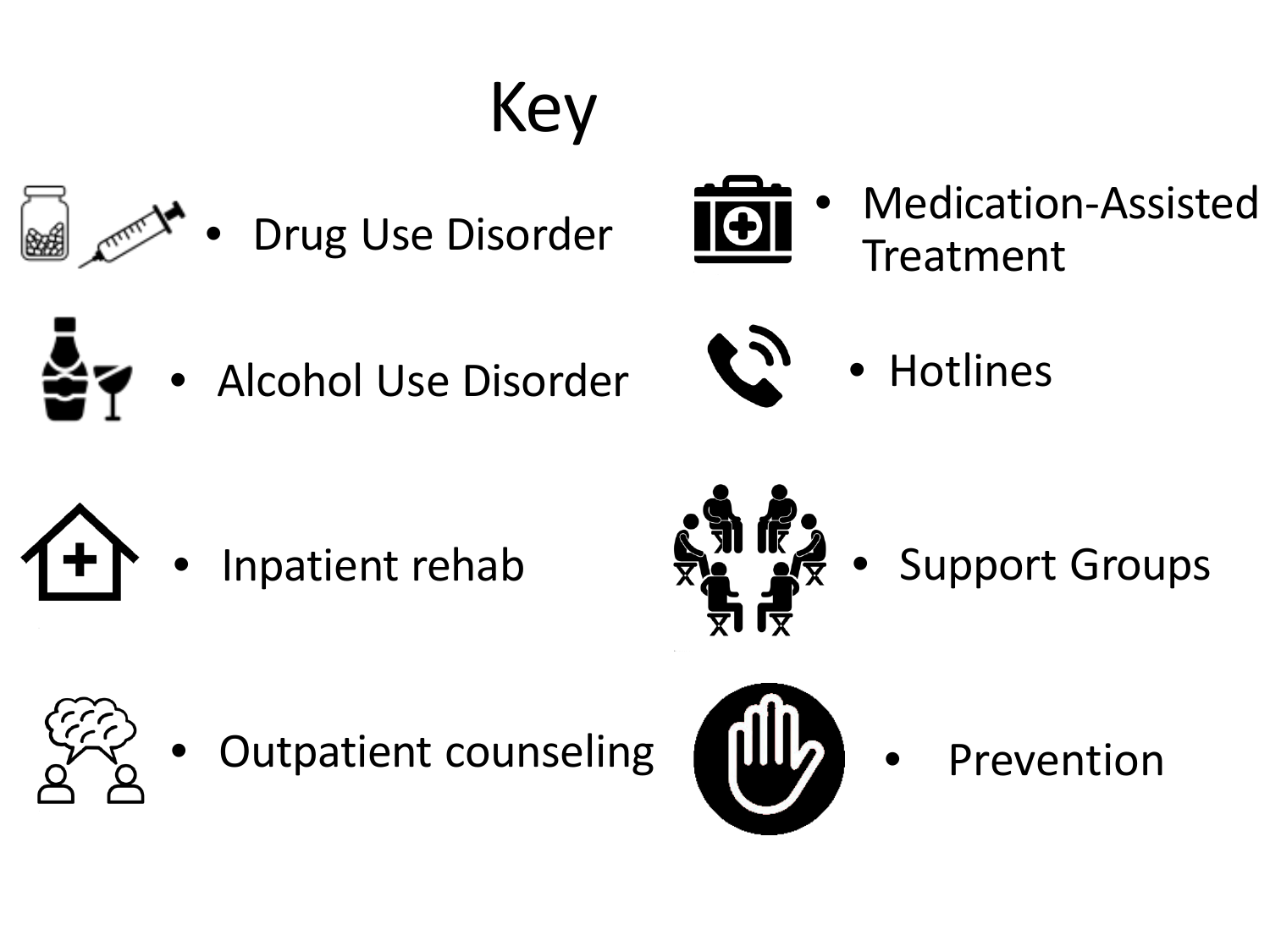







• Medication-Assisted Treatment



• Alcohol Use Disorder



• Hotlines





**ENIEZ** • Support Groups



Outpatient counseling



• Prevention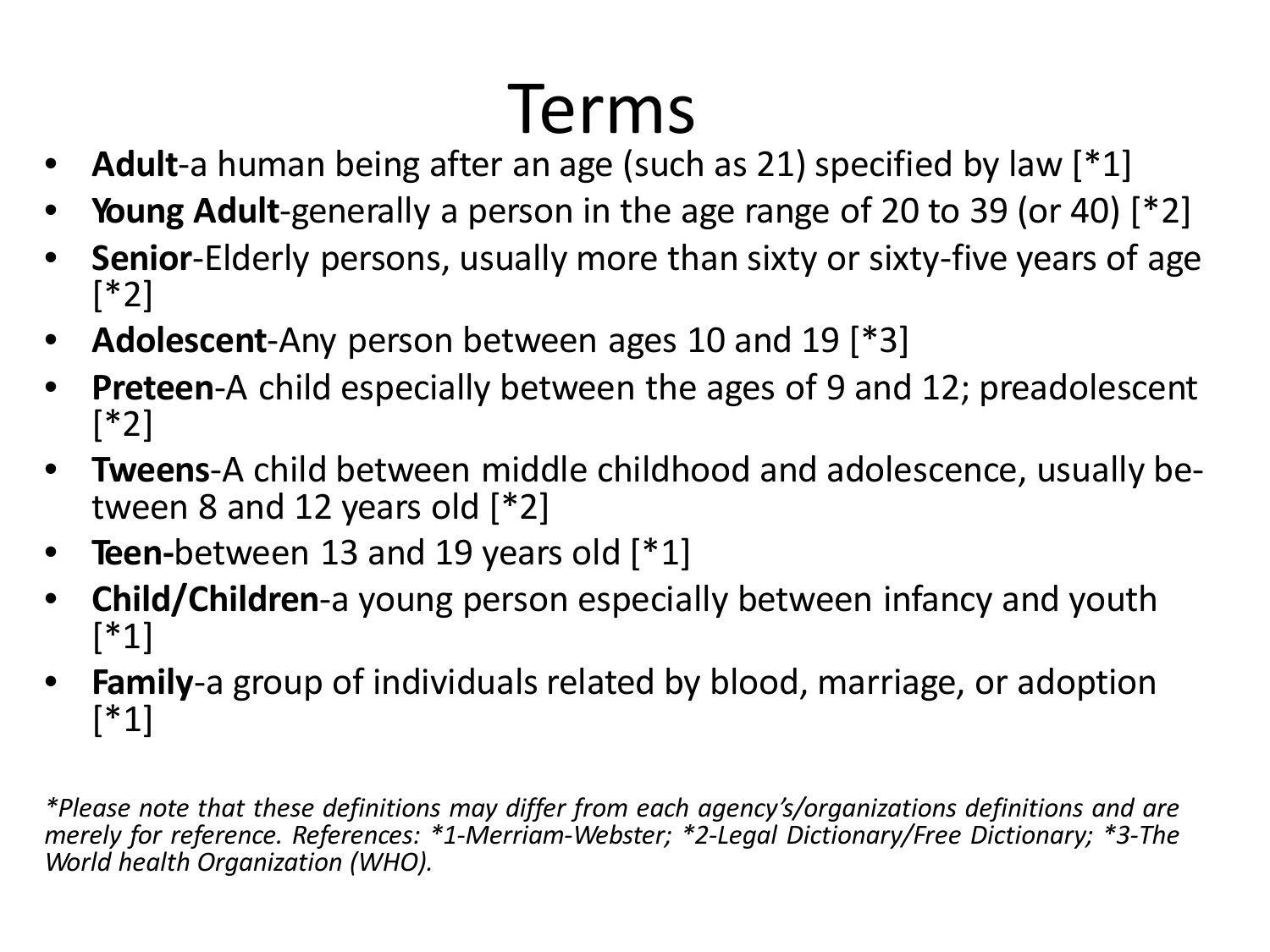# Terms

- **Adult**-a human being after an age (such as 21) specified by law [\*1]
- **Young Adult**-generally a person in the age range of 20 to 39 (or 40) [\*2]
- **Senior**-Elderly persons, usually more than sixty or sixty-five years of age [\*2]
- **Adolescent**-Any person between ages 10 and 19 [\*3]
- **Preteen-A** child especially between the ages of 9 and 12; preadolescent [\*2]
- **Tweens**-A child between middle childhood and adolescence, usually be- tween <sup>8</sup> and <sup>12</sup> years old [\*2]
- **Teen-**between 13 and 19 years old [\*1]
- **Child/Children**-a young person especially between infancy and youth [\*1]
- **Family**-a group of individuals related by blood, marriage, or adoption [\*1]

*\*Please note that these definitions may differ from each agency's/organizations definitions and are merely for reference. References: \*1-Merriam-Webster; \*2-Legal Dictionary/Free Dictionary; \*3-The World health Organization (WHO).*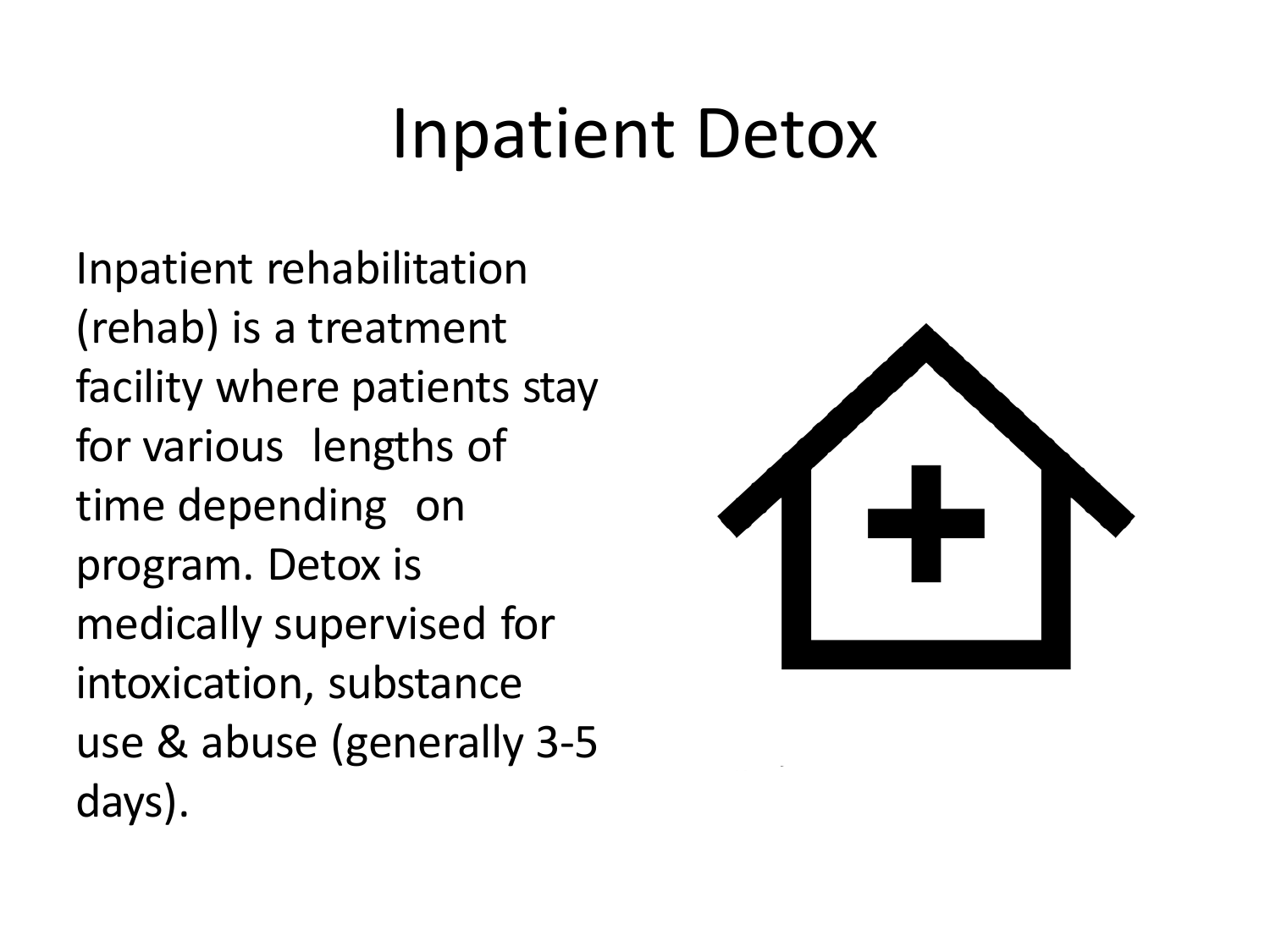Inpatient rehabilitation (rehab) is a treatment facility where patients stay for various lengths of time depending on program. Detox is medically supervised for intoxication, substance use & abuse (generally 3-5 days).

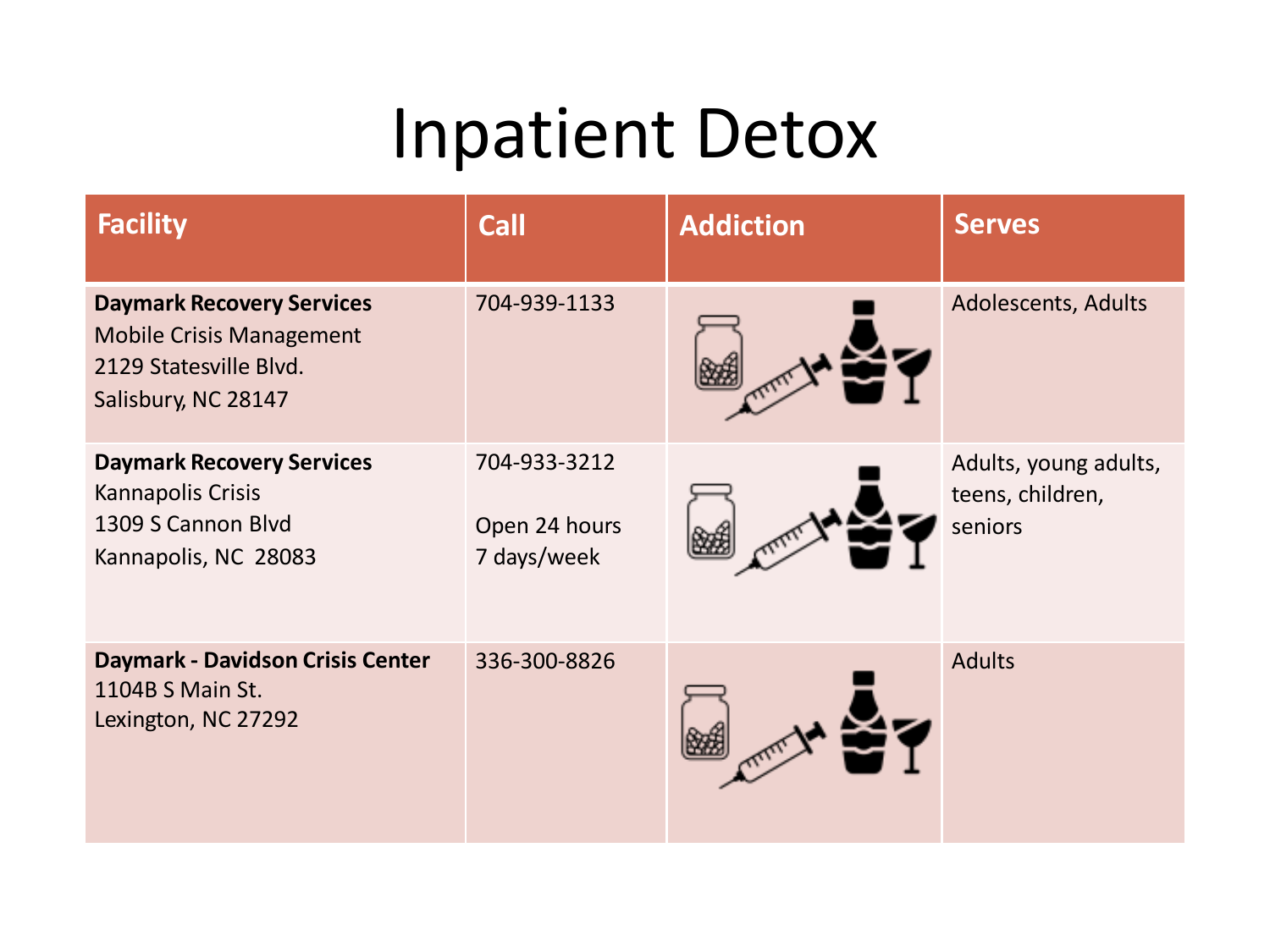| <b>Facility</b>                                                                                                      | <b>Call</b>                                  | <b>Addiction</b> | <b>Serves</b>                                        |
|----------------------------------------------------------------------------------------------------------------------|----------------------------------------------|------------------|------------------------------------------------------|
| <b>Daymark Recovery Services</b><br><b>Mobile Crisis Management</b><br>2129 Statesville Blvd.<br>Salisbury, NC 28147 | 704-939-1133                                 |                  | Adolescents, Adults                                  |
| <b>Daymark Recovery Services</b><br>Kannapolis Crisis<br>1309 S Cannon Blvd<br>Kannapolis, NC 28083                  | 704-933-3212<br>Open 24 hours<br>7 days/week |                  | Adults, young adults,<br>teens, children,<br>seniors |
| <b>Daymark - Davidson Crisis Center</b><br>1104B S Main St.<br>Lexington, NC 27292                                   | 336-300-8826                                 |                  | <b>Adults</b>                                        |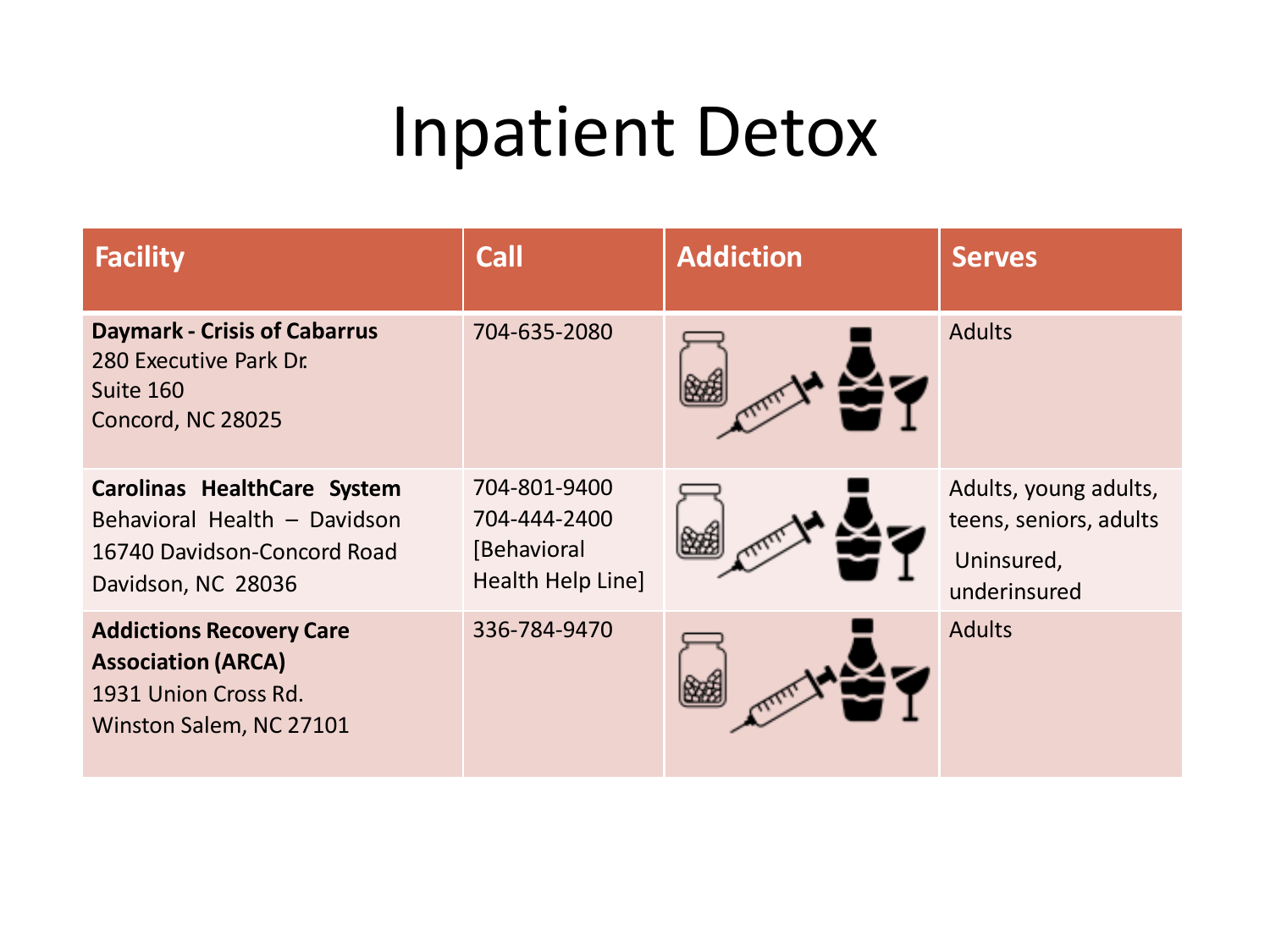| <b>Facility</b>                                                                                                  | <b>Call</b>                                                      | <b>Addiction</b> | <b>Serves</b>                                                                 |
|------------------------------------------------------------------------------------------------------------------|------------------------------------------------------------------|------------------|-------------------------------------------------------------------------------|
| <b>Daymark - Crisis of Cabarrus</b><br>280 Executive Park Dr.<br>Suite 160<br>Concord, NC 28025                  | 704-635-2080                                                     |                  | <b>Adults</b>                                                                 |
| Carolinas HealthCare System<br>Behavioral Health - Davidson<br>16740 Davidson-Concord Road<br>Davidson, NC 28036 | 704-801-9400<br>704-444-2400<br>[Behavioral<br>Health Help Line] |                  | Adults, young adults,<br>teens, seniors, adults<br>Uninsured,<br>underinsured |
| <b>Addictions Recovery Care</b><br><b>Association (ARCA)</b><br>1931 Union Cross Rd.<br>Winston Salem, NC 27101  | 336-784-9470                                                     |                  | <b>Adults</b>                                                                 |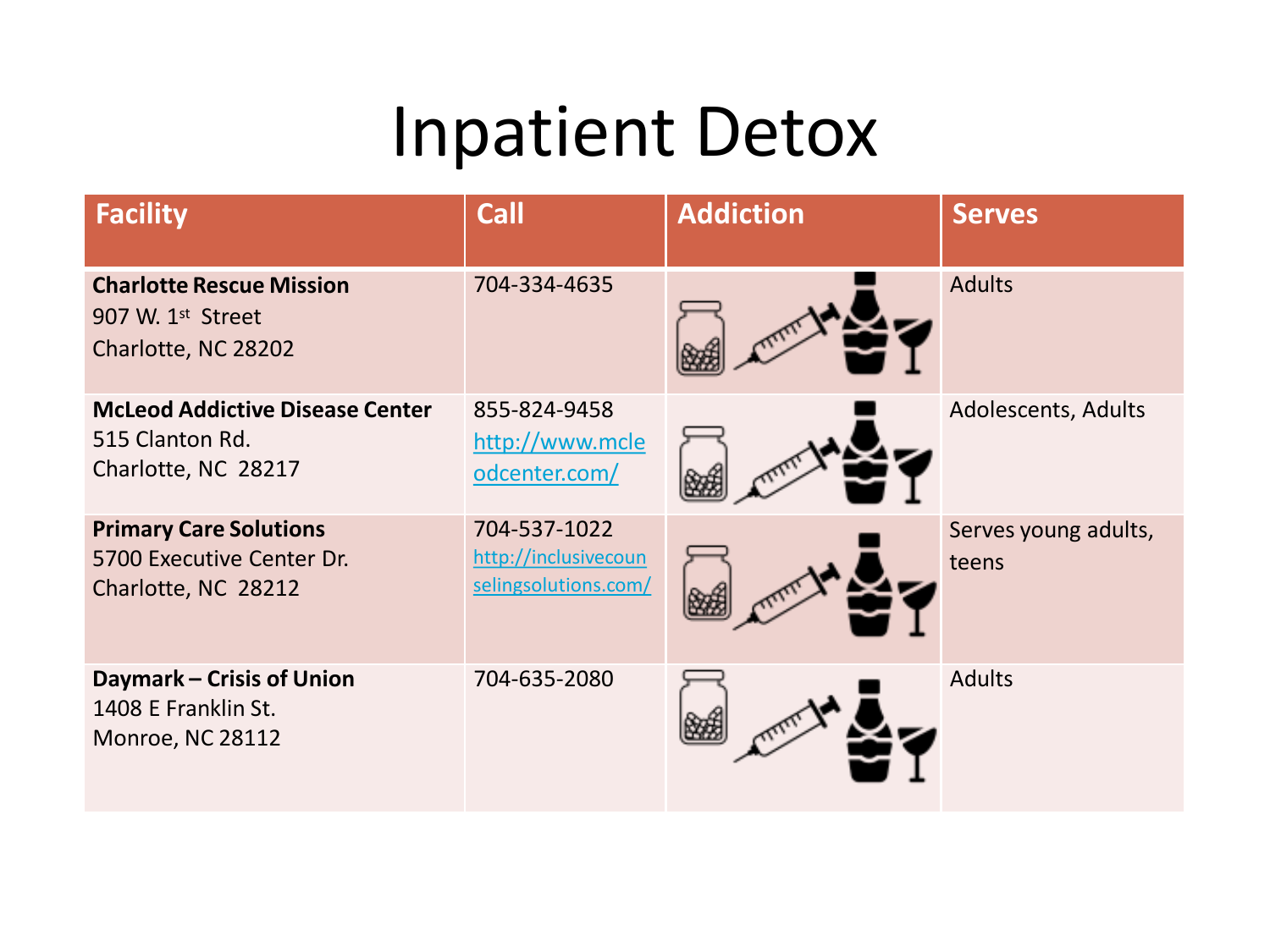| <b>Facility</b>                                                                         | <b>Call</b>                                                  | <b>Addiction</b> | <b>Serves</b>                 |
|-----------------------------------------------------------------------------------------|--------------------------------------------------------------|------------------|-------------------------------|
| <b>Charlotte Rescue Mission</b><br>907 W. 1 <sup>st</sup> Street<br>Charlotte, NC 28202 | 704-334-4635                                                 |                  | <b>Adults</b>                 |
| <b>McLeod Addictive Disease Center</b><br>515 Clanton Rd.<br>Charlotte, NC 28217        | 855-824-9458<br>http://www.mcle<br>odcenter.com/             |                  | Adolescents, Adults           |
| <b>Primary Care Solutions</b><br>5700 Executive Center Dr.<br>Charlotte, NC 28212       | 704-537-1022<br>http://inclusivecoun<br>selingsolutions.com/ |                  | Serves young adults,<br>teens |
| Daymark - Crisis of Union<br>1408 E Franklin St.<br>Monroe, NC 28112                    | 704-635-2080                                                 |                  | <b>Adults</b>                 |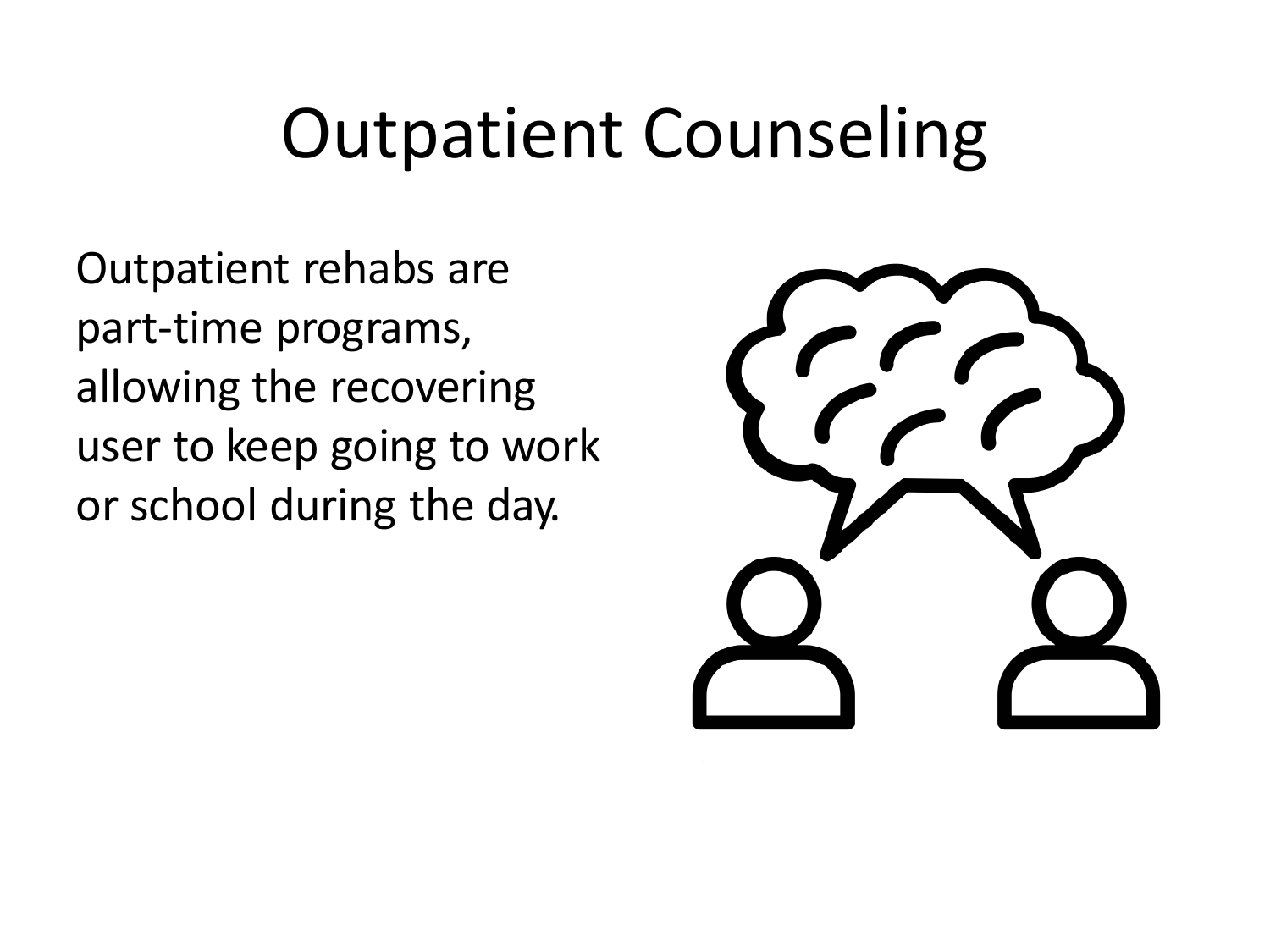Outpatient rehabs are part-time programs, allowing the recovering user to keep going to work or school during the day.

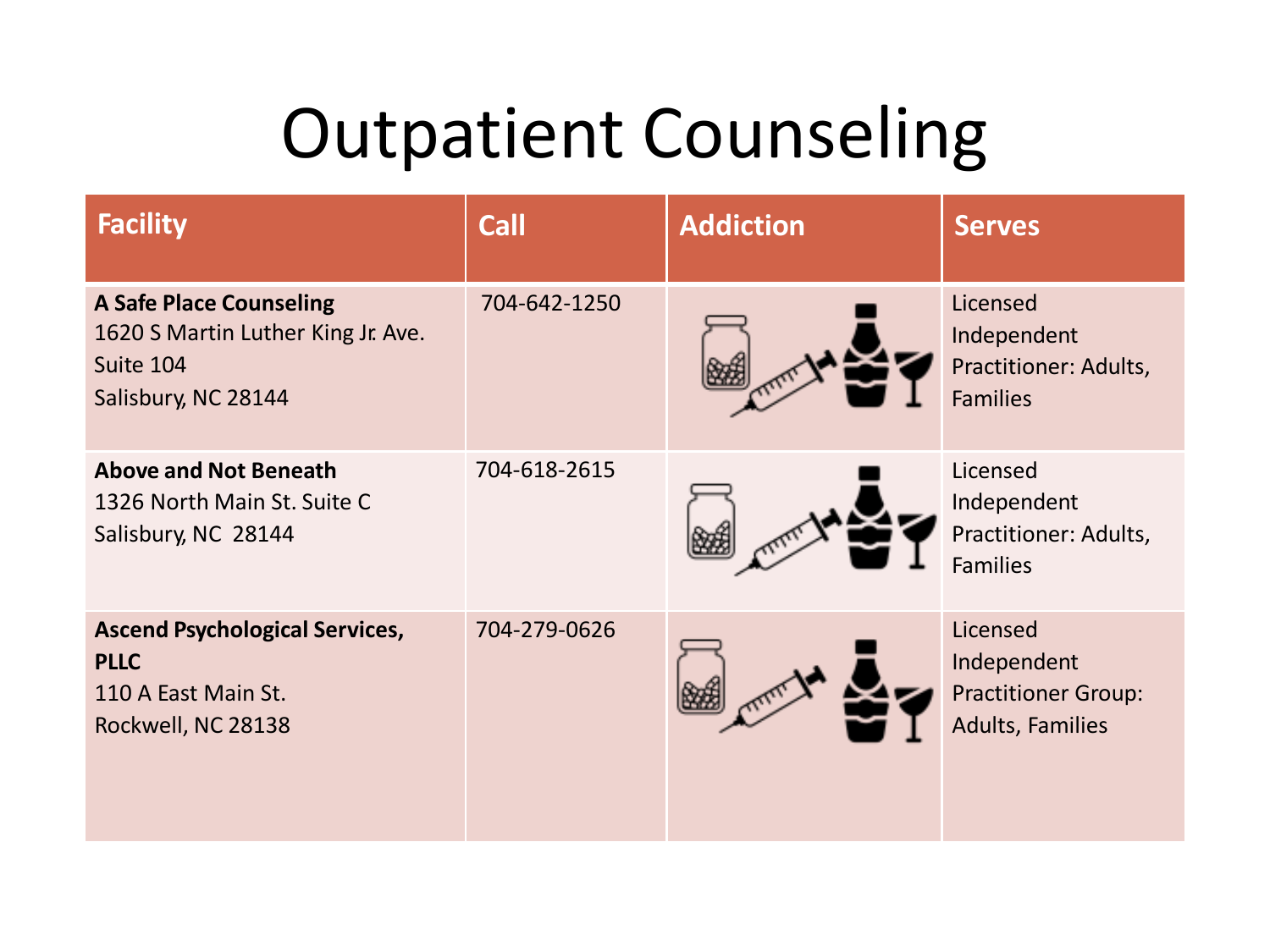| <b>Facility</b>                                                                                          | <b>Call</b>  | <b>Addiction</b> | <b>Serves</b>                                                                    |
|----------------------------------------------------------------------------------------------------------|--------------|------------------|----------------------------------------------------------------------------------|
| <b>A Safe Place Counseling</b><br>1620 S Martin Luther King Jr. Ave.<br>Suite 104<br>Salisbury, NC 28144 | 704-642-1250 |                  | Licensed<br>Independent<br>Practitioner: Adults,<br><b>Families</b>              |
| <b>Above and Not Beneath</b><br>1326 North Main St. Suite C<br>Salisbury, NC 28144                       | 704-618-2615 |                  | Licensed<br>Independent<br>Practitioner: Adults,<br><b>Families</b>              |
| <b>Ascend Psychological Services,</b><br><b>PLLC</b><br>110 A East Main St.<br>Rockwell, NC 28138        | 704-279-0626 |                  | Licensed<br>Independent<br><b>Practitioner Group:</b><br><b>Adults, Families</b> |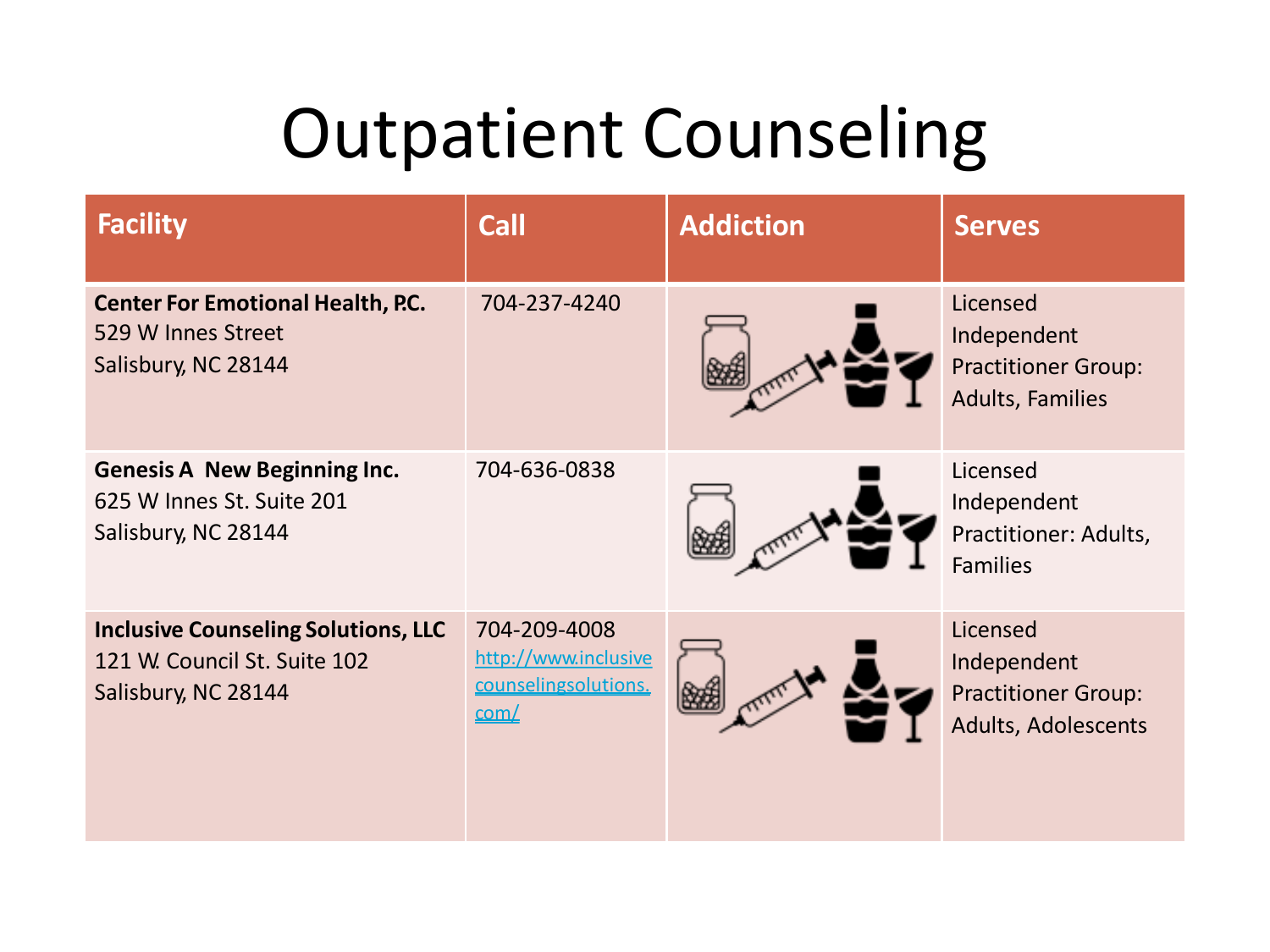| <b>Facility</b>                                                                                   | <b>Call</b>                                                          | <b>Addiction</b> | <b>Serves</b>                                                                    |
|---------------------------------------------------------------------------------------------------|----------------------------------------------------------------------|------------------|----------------------------------------------------------------------------------|
| <b>Center For Emotional Health, P.C.</b><br>529 W Innes Street<br>Salisbury, NC 28144             | 704-237-4240                                                         |                  | Licensed<br>Independent<br><b>Practitioner Group:</b><br><b>Adults, Families</b> |
| <b>Genesis A New Beginning Inc.</b><br>625 W Innes St. Suite 201<br>Salisbury, NC 28144           | 704-636-0838                                                         |                  | Licensed<br>Independent<br>Practitioner: Adults,<br><b>Families</b>              |
| <b>Inclusive Counseling Solutions, LLC</b><br>121 W. Council St. Suite 102<br>Salisbury, NC 28144 | 704-209-4008<br>http://www.inclusive<br>counselingsolutions.<br>com/ |                  | Licensed<br>Independent<br><b>Practitioner Group:</b><br>Adults, Adolescents     |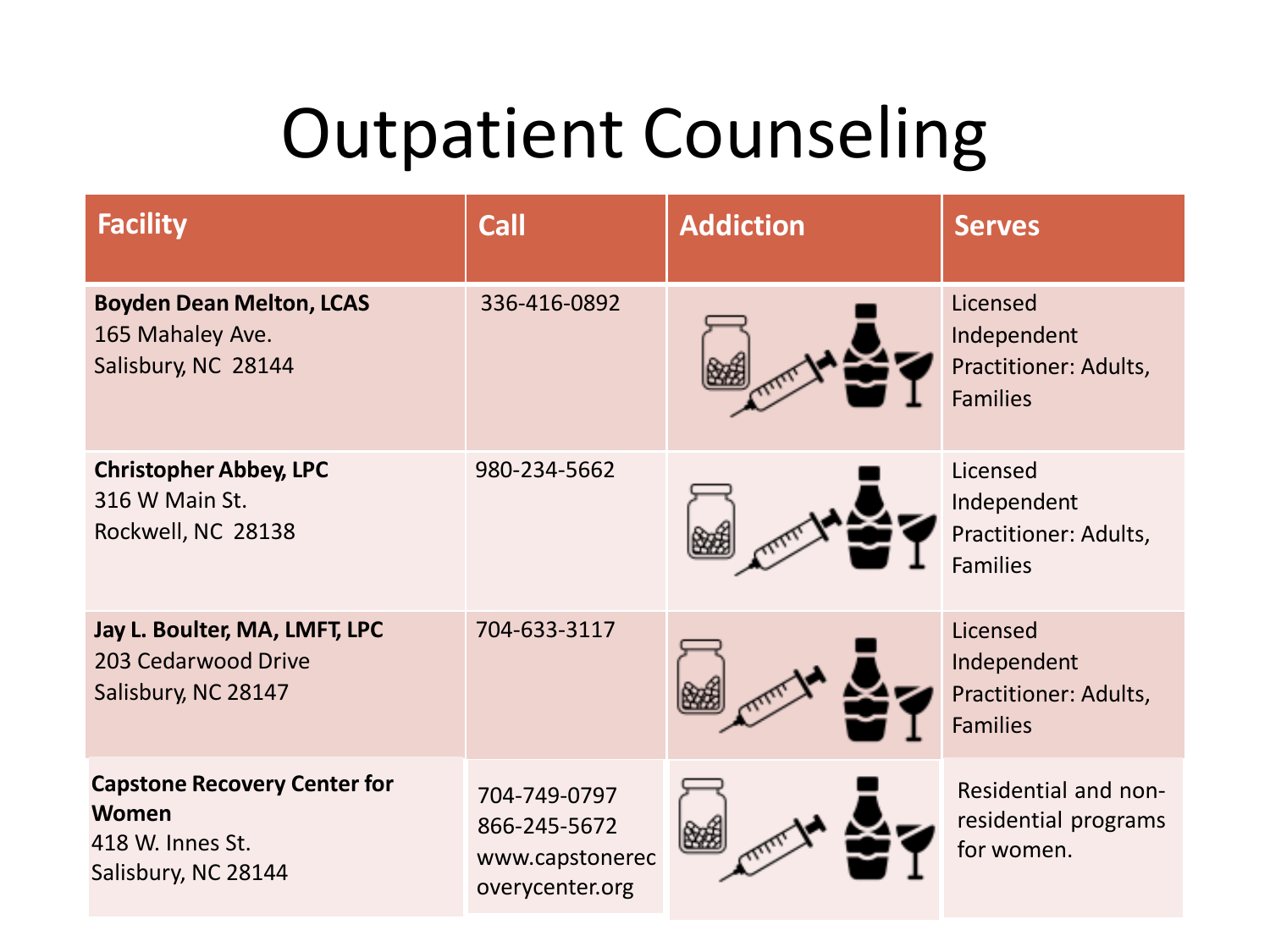| <b>Facility</b>                                                                         | <b>Call</b>                                                        | <b>Addiction</b> | <b>Serves</b>                                                       |
|-----------------------------------------------------------------------------------------|--------------------------------------------------------------------|------------------|---------------------------------------------------------------------|
| <b>Boyden Dean Melton, LCAS</b><br>165 Mahaley Ave.<br>Salisbury, NC 28144              | 336-416-0892                                                       |                  | Licensed<br>Independent<br>Practitioner: Adults,<br><b>Families</b> |
| <b>Christopher Abbey, LPC</b><br>316 W Main St.<br>Rockwell, NC 28138                   | 980-234-5662                                                       |                  | Licensed<br>Independent<br>Practitioner: Adults,<br><b>Families</b> |
| Jay L. Boulter, MA, LMFT, LPC<br>203 Cedarwood Drive<br>Salisbury, NC 28147             | 704-633-3117                                                       |                  | Licensed<br>Independent<br>Practitioner: Adults,<br><b>Families</b> |
| <b>Capstone Recovery Center for</b><br>Women<br>418 W. Innes St.<br>Salisbury, NC 28144 | 704-749-0797<br>866-245-5672<br>www.capstonerec<br>overycenter.org |                  | Residential and non-<br>residential programs<br>for women.          |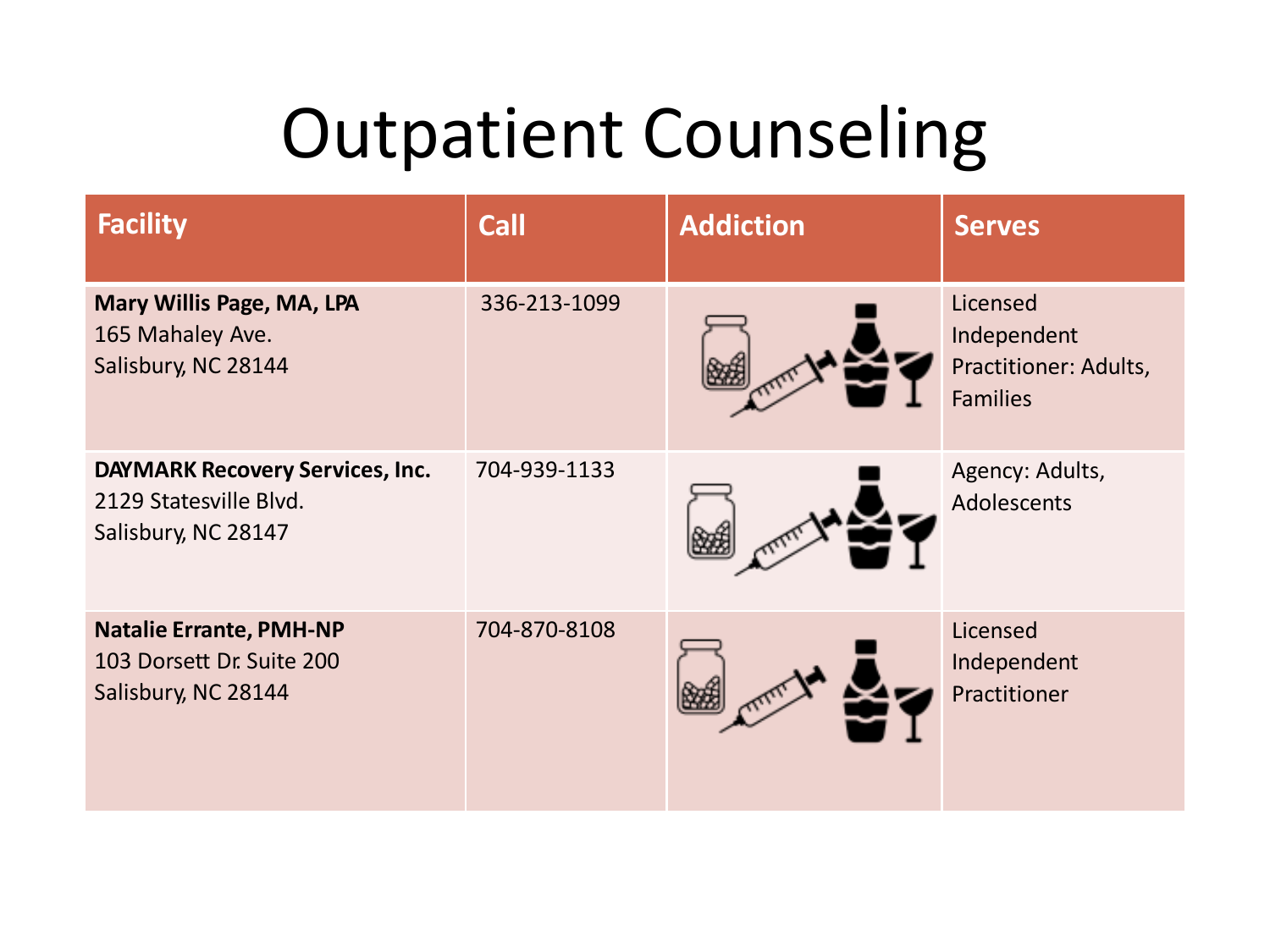| <b>Facility</b>                                                                         | <b>Call</b>  | <b>Addiction</b> | <b>Serves</b>                                                       |
|-----------------------------------------------------------------------------------------|--------------|------------------|---------------------------------------------------------------------|
| Mary Willis Page, MA, LPA<br>165 Mahaley Ave.<br>Salisbury, NC 28144                    | 336-213-1099 |                  | Licensed<br>Independent<br>Practitioner: Adults,<br><b>Families</b> |
| <b>DAYMARK Recovery Services, Inc.</b><br>2129 Statesville Blvd.<br>Salisbury, NC 28147 | 704-939-1133 |                  | Agency: Adults,<br>Adolescents                                      |
| <b>Natalie Errante, PMH-NP</b><br>103 Dorsett Dr. Suite 200<br>Salisbury, NC 28144      | 704-870-8108 |                  | Licensed<br>Independent<br>Practitioner                             |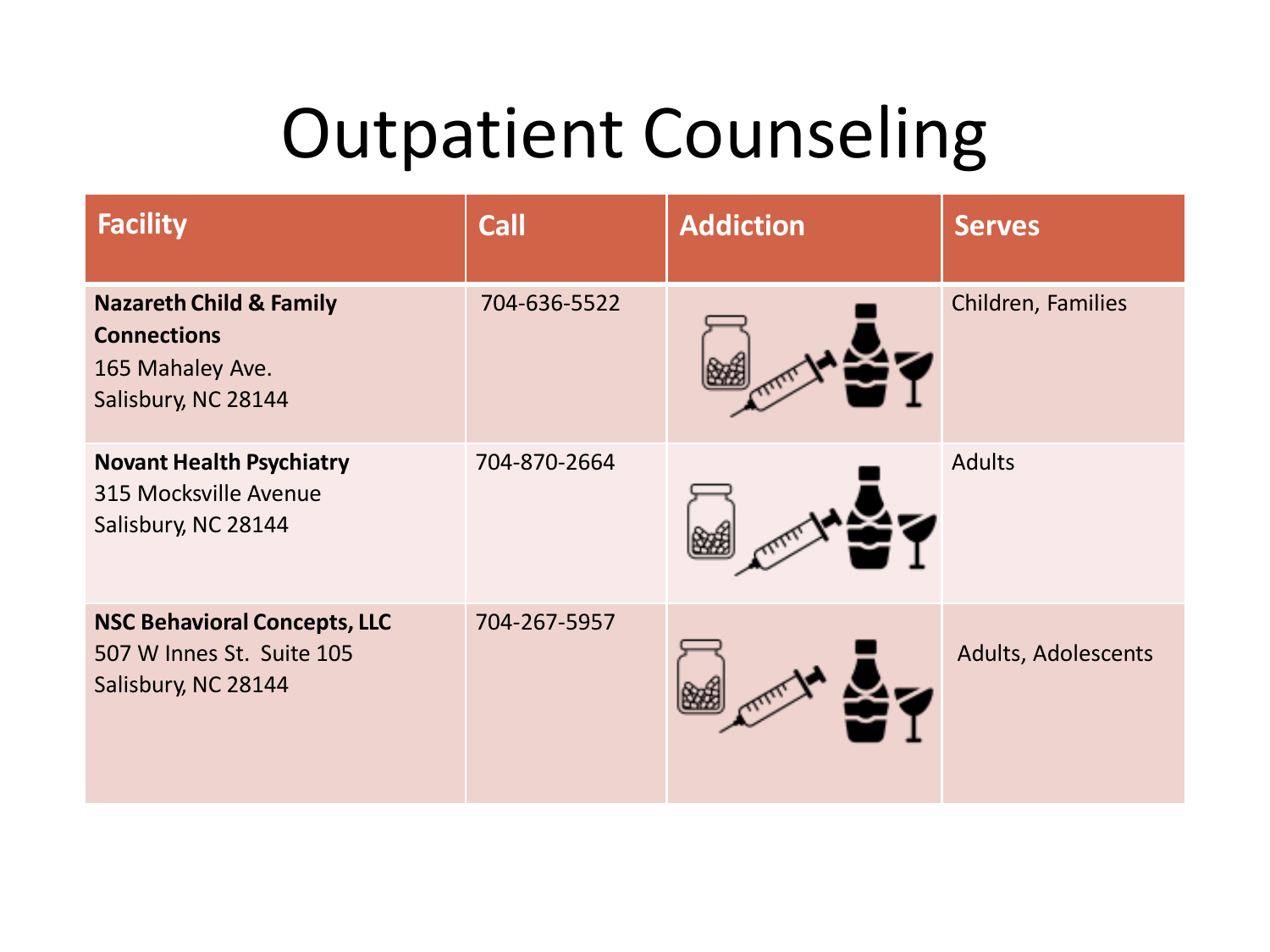| <b>Facility</b>                                                                                     | <b>Call</b>  | <b>Addiction</b> | <b>Serves</b>       |
|-----------------------------------------------------------------------------------------------------|--------------|------------------|---------------------|
| <b>Nazareth Child &amp; Family</b><br><b>Connections</b><br>165 Mahaley Ave.<br>Salisbury, NC 28144 | 704-636-5522 |                  | Children, Families  |
| <b>Novant Health Psychiatry</b><br>315 Mocksville Avenue<br>Salisbury, NC 28144                     | 704-870-2664 |                  | <b>Adults</b>       |
| <b>NSC Behavioral Concepts, LLC</b><br>507 W Innes St. Suite 105<br>Salisbury, NC 28144             | 704-267-5957 |                  | Adults, Adolescents |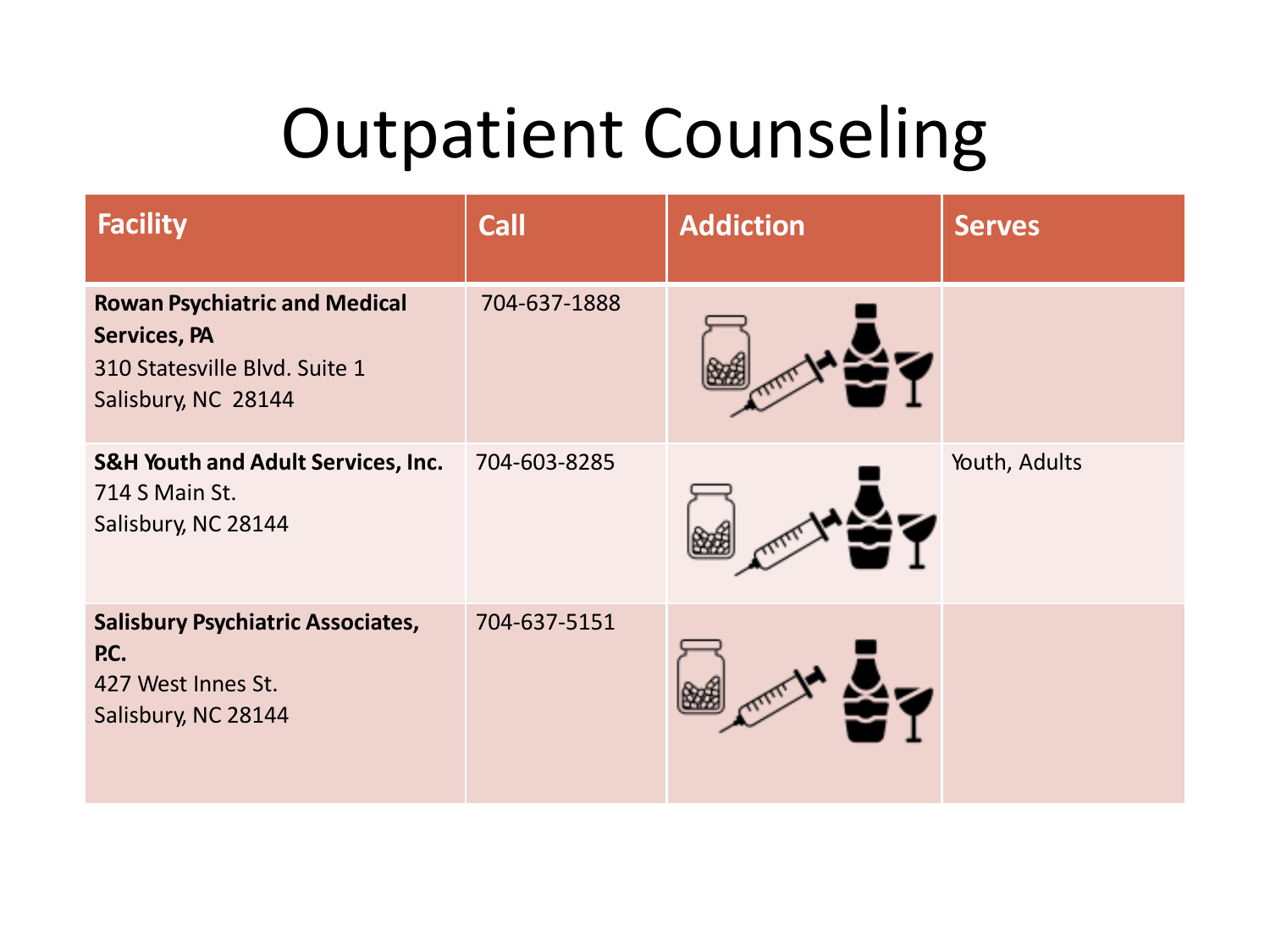| <b>Facility</b>                                                                                                     | Call         | <b>Addiction</b> | <b>Serves</b> |
|---------------------------------------------------------------------------------------------------------------------|--------------|------------------|---------------|
| <b>Rowan Psychiatric and Medical</b><br><b>Services, PA</b><br>310 Statesville Blvd. Suite 1<br>Salisbury, NC 28144 | 704-637-1888 |                  |               |
| <b>S&amp;H Youth and Adult Services, Inc.</b><br>714 S Main St.<br>Salisbury, NC 28144                              | 704-603-8285 |                  | Youth, Adults |
| <b>Salisbury Psychiatric Associates,</b><br>P.C.<br>427 West Innes St.<br>Salisbury, NC 28144                       | 704-637-5151 |                  |               |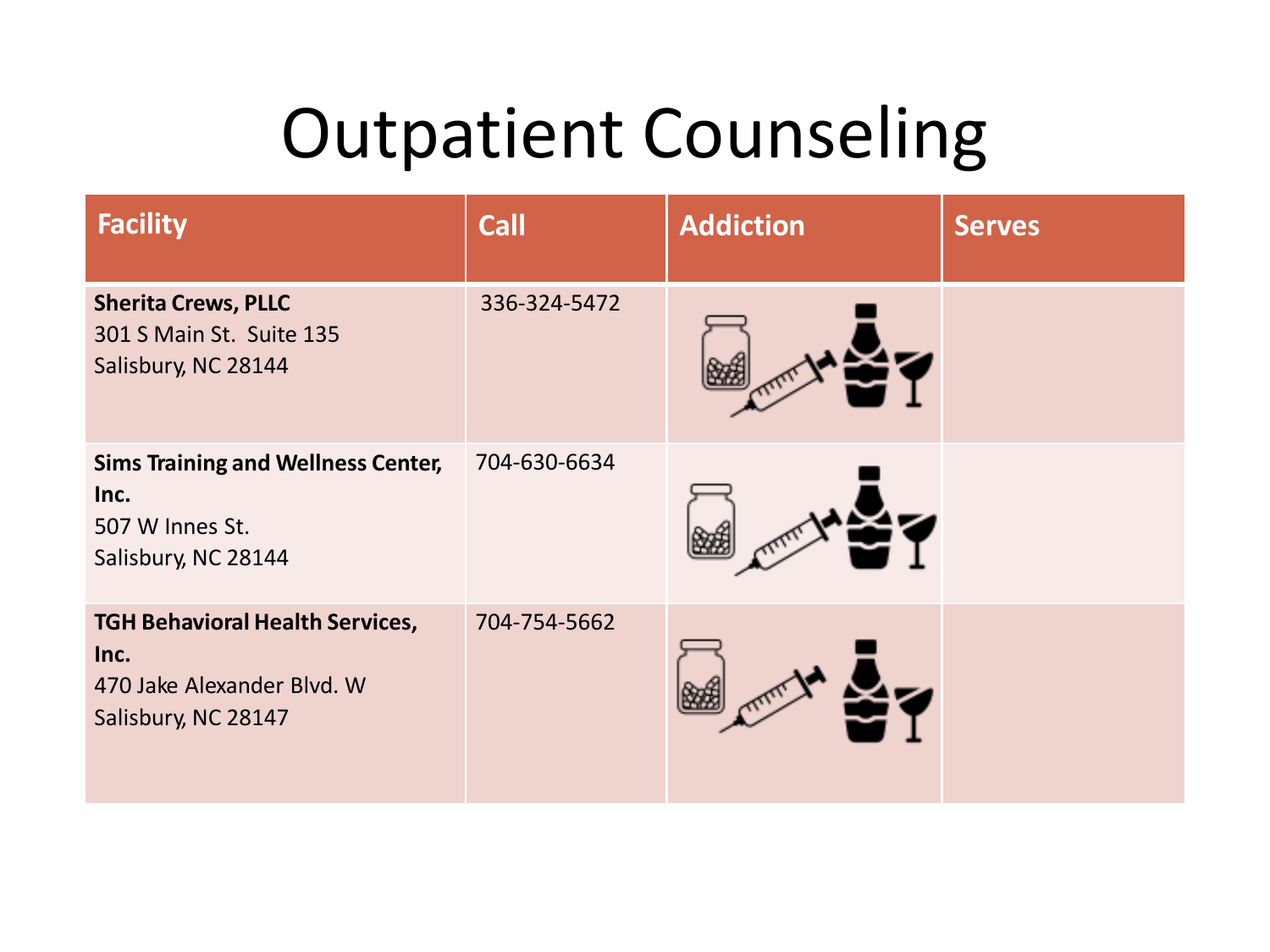| <b>Facility</b>                                                                                     | <b>Call</b>  | <b>Addiction</b> | <b>Serves</b> |
|-----------------------------------------------------------------------------------------------------|--------------|------------------|---------------|
| <b>Sherita Crews, PLLC</b><br>301 S Main St. Suite 135<br>Salisbury, NC 28144                       | 336-324-5472 |                  |               |
| <b>Sims Training and Wellness Center,</b><br>Inc.<br>507 W Innes St.<br>Salisbury, NC 28144         | 704-630-6634 |                  |               |
| <b>TGH Behavioral Health Services,</b><br>Inc.<br>470 Jake Alexander Blvd. W<br>Salisbury, NC 28147 | 704-754-5662 |                  |               |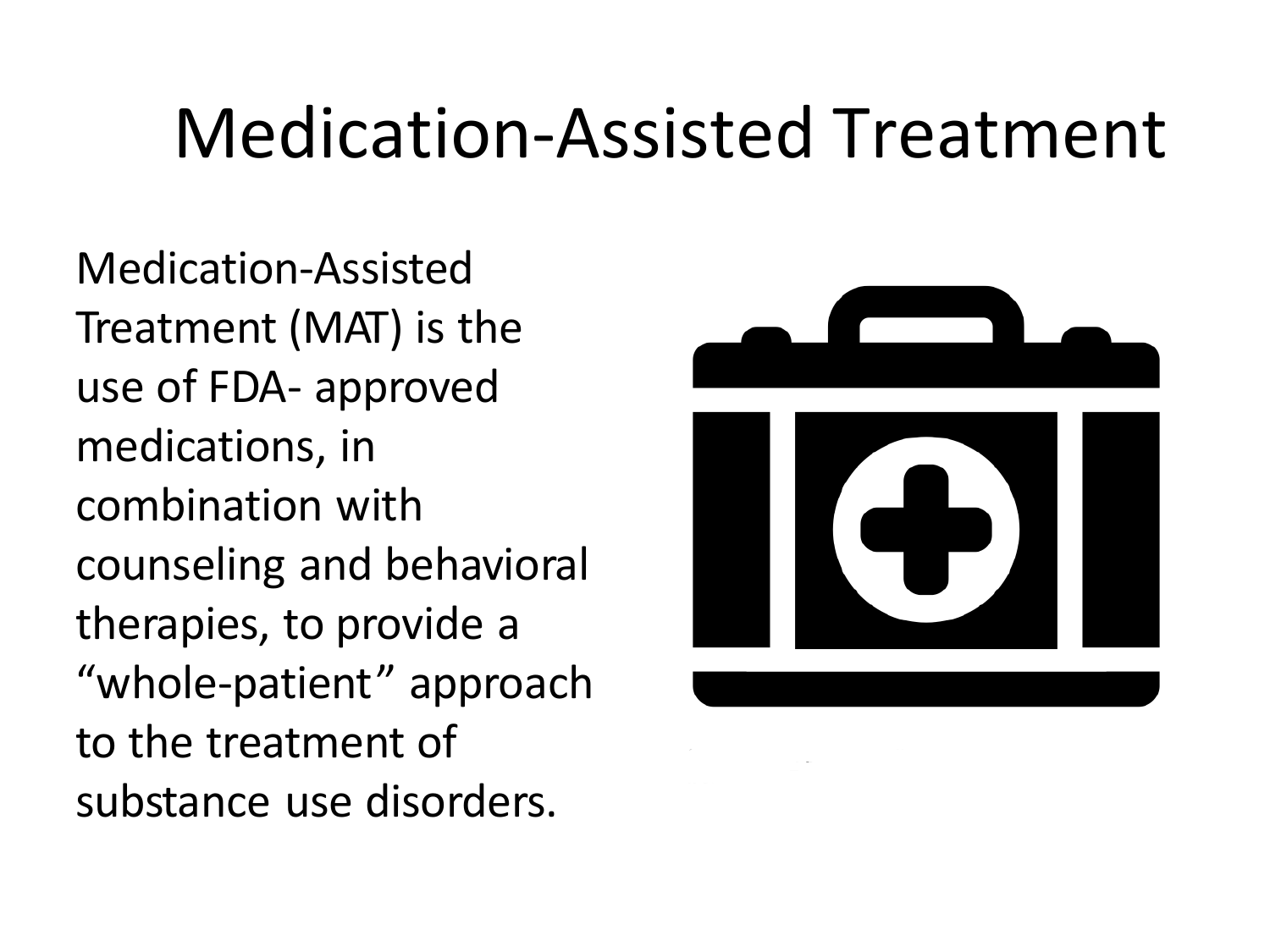## Medication-Assisted Treatment

Medication-Assisted Treatment (MAT) is the use of FDA- approved medications, in combination with counseling and behavioral therapies, to provide a "whole-patient" approach to the treatment of substance use disorders.

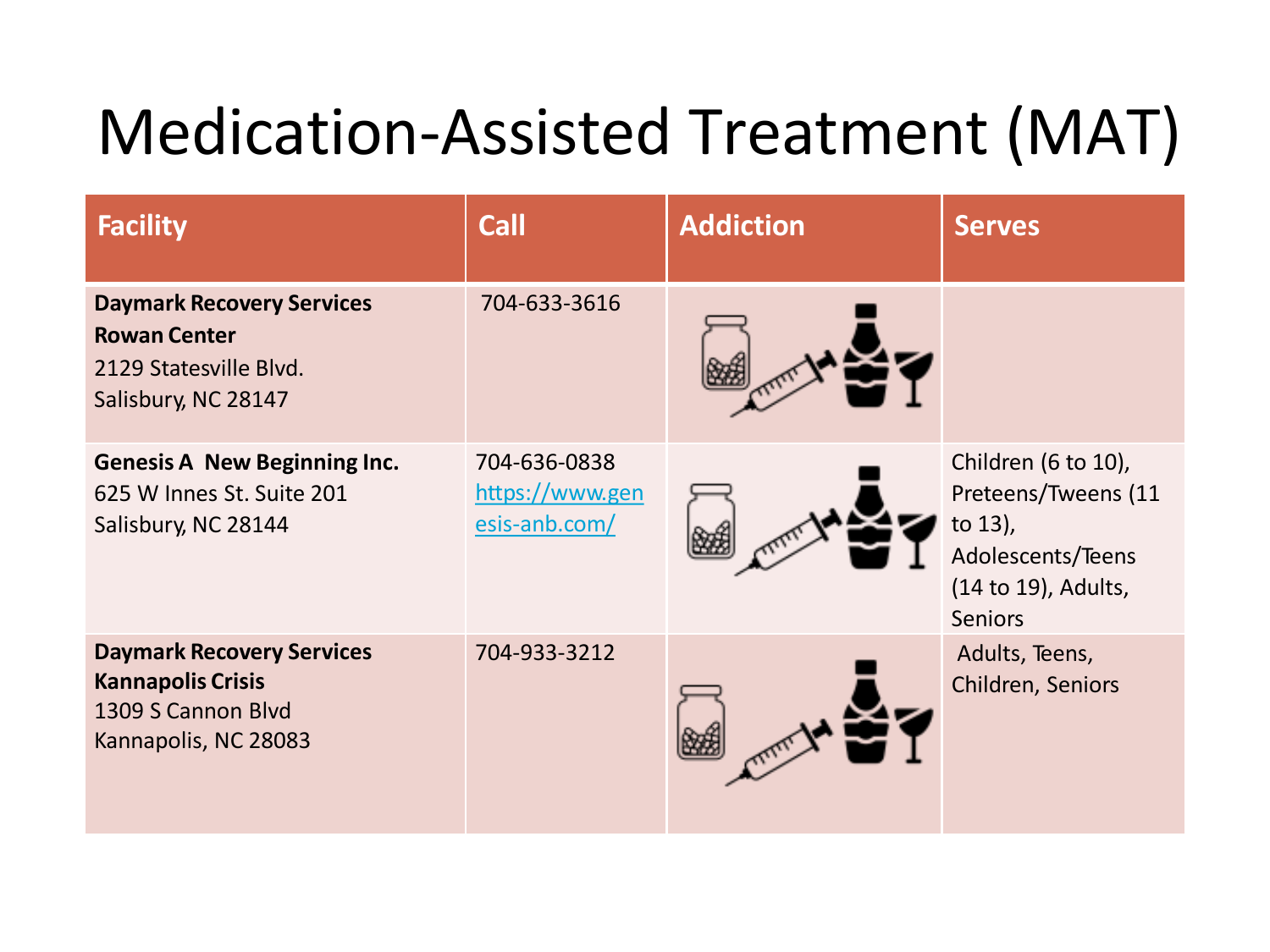## Medication-Assisted Treatment (MAT)

| <b>Facility</b>                                                                                            | <b>Call</b>                                      | <b>Addiction</b> | <b>Serves</b>                                                                                                          |
|------------------------------------------------------------------------------------------------------------|--------------------------------------------------|------------------|------------------------------------------------------------------------------------------------------------------------|
| <b>Daymark Recovery Services</b><br><b>Rowan Center</b><br>2129 Statesville Blvd.<br>Salisbury, NC 28147   | 704-633-3616                                     |                  |                                                                                                                        |
| <b>Genesis A New Beginning Inc.</b><br>625 W Innes St. Suite 201<br>Salisbury, NC 28144                    | 704-636-0838<br>https://www.gen<br>esis-anb.com/ |                  | Children (6 to 10),<br>Preteens/Tweens (11<br>to $13$ ),<br>Adolescents/Teens<br>(14 to 19), Adults,<br><b>Seniors</b> |
| <b>Daymark Recovery Services</b><br><b>Kannapolis Crisis</b><br>1309 S Cannon Blvd<br>Kannapolis, NC 28083 | 704-933-3212                                     |                  | Adults, Teens,<br>Children, Seniors                                                                                    |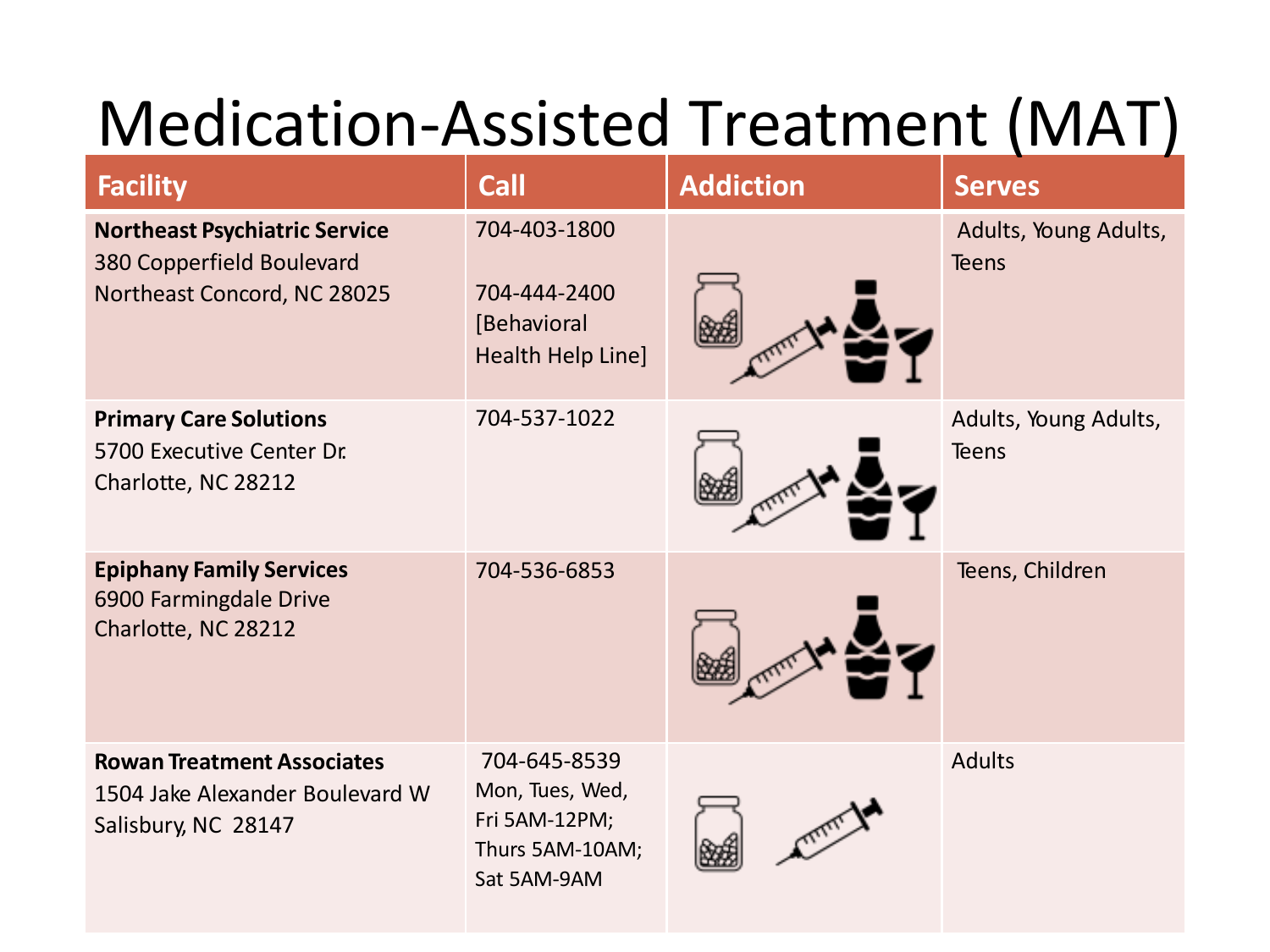## Medication-Assisted Treatment (MAT)

| <b>Facility</b>                                                                                  | <b>Call</b>                                                                        | <b>Addiction</b> | <b>Serves</b>                         |
|--------------------------------------------------------------------------------------------------|------------------------------------------------------------------------------------|------------------|---------------------------------------|
| <b>Northeast Psychiatric Service</b><br>380 Copperfield Boulevard<br>Northeast Concord, NC 28025 | 704-403-1800<br>704-444-2400<br>[Behavioral<br>Health Help Line]                   |                  | Adults, Young Adults,<br><b>Teens</b> |
| <b>Primary Care Solutions</b><br>5700 Executive Center Dr.<br>Charlotte, NC 28212                | 704-537-1022                                                                       |                  | Adults, Young Adults,<br><b>Teens</b> |
| <b>Epiphany Family Services</b><br>6900 Farmingdale Drive<br>Charlotte, NC 28212                 | 704-536-6853                                                                       |                  | Teens, Children                       |
| <b>Rowan Treatment Associates</b><br>1504 Jake Alexander Boulevard W<br>Salisbury, NC 28147      | 704-645-8539<br>Mon, Tues, Wed,<br>Fri 5AM-12PM;<br>Thurs 5AM-10AM;<br>Sat 5AM-9AM |                  | <b>Adults</b>                         |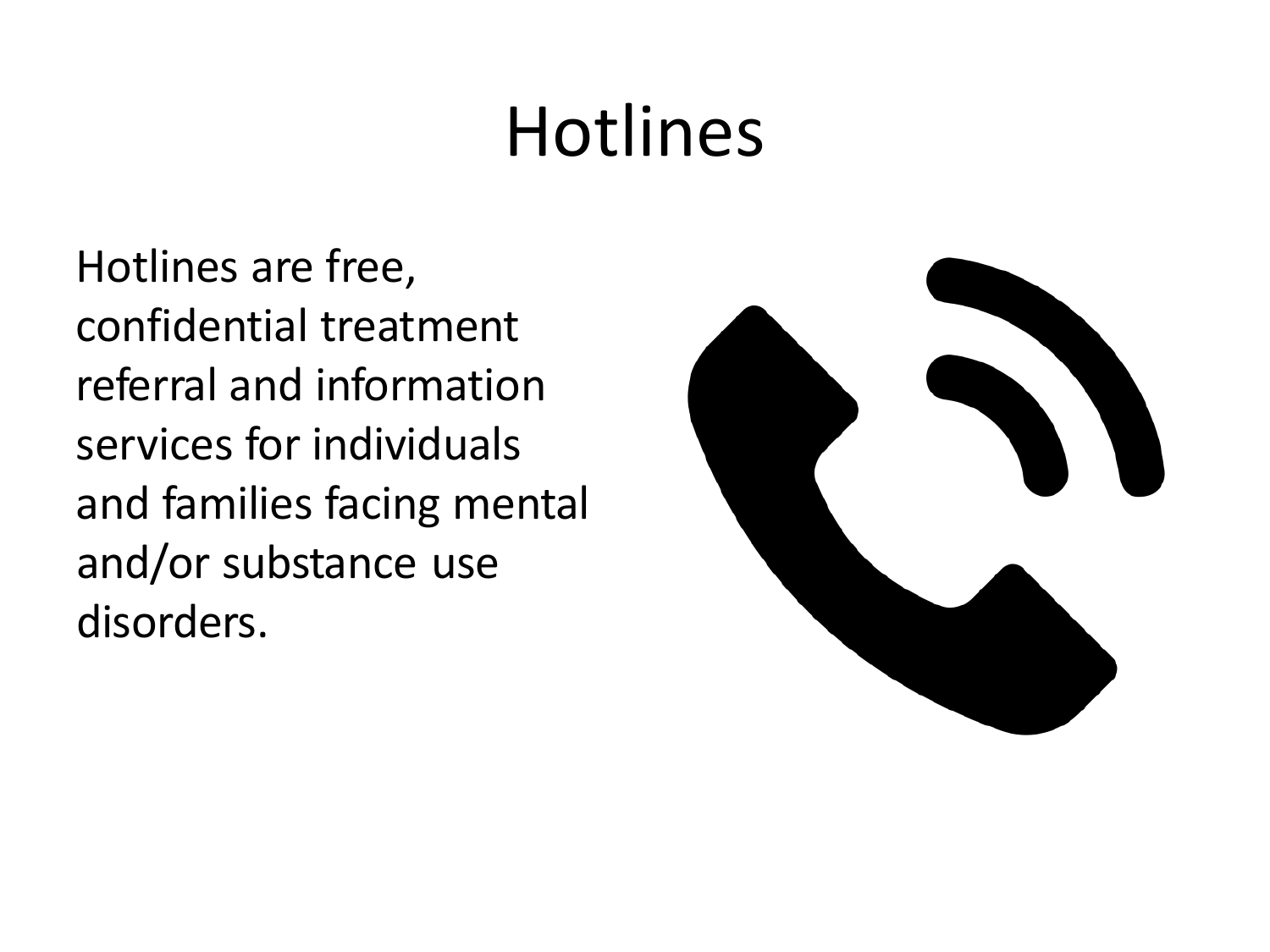Hotlines are free, confidential treatment referral and information services for individuals and families facing mental and/or substance use disorders.

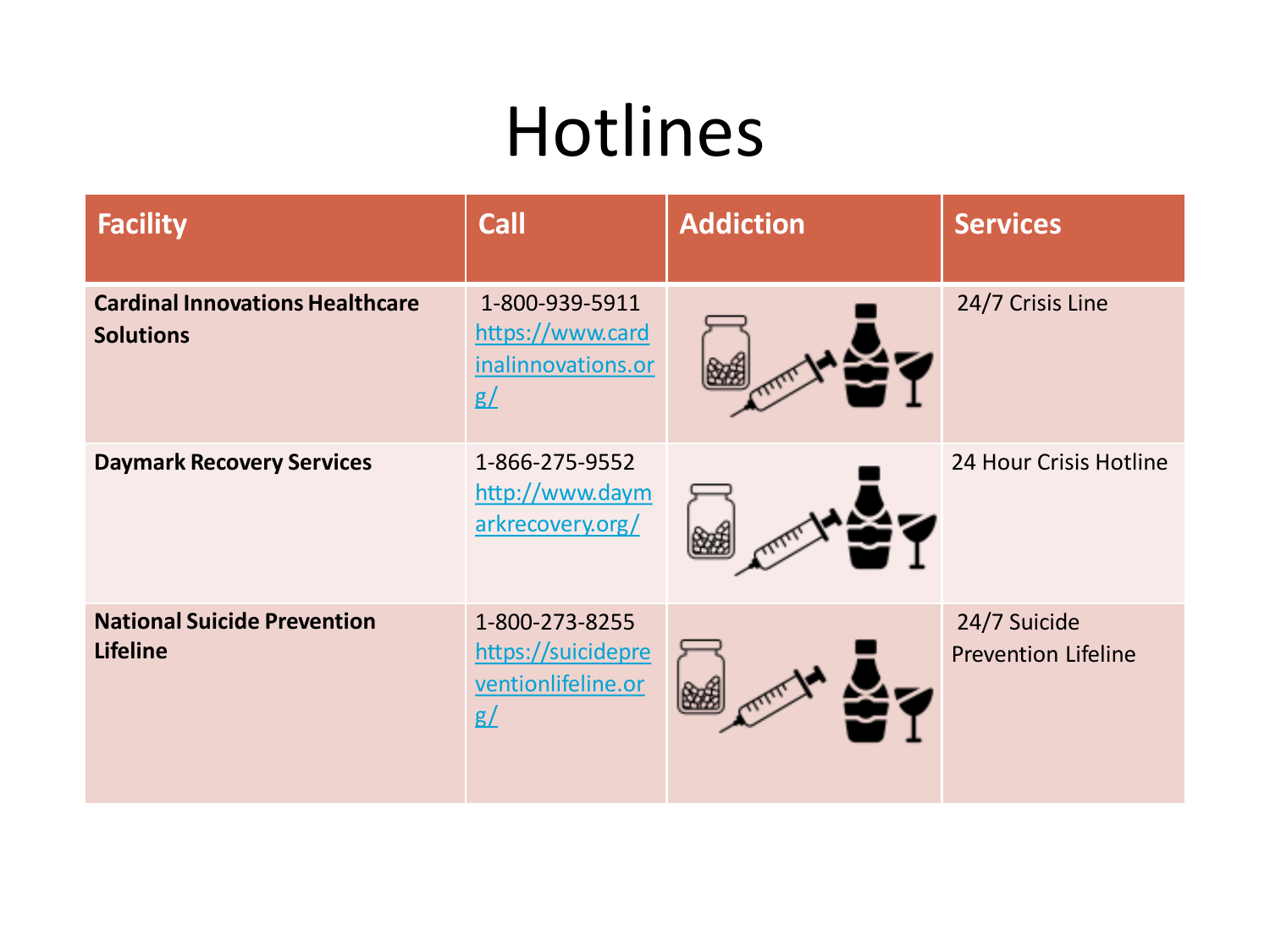| <b>Facility</b>                                            | <b>Call</b>                                                             | <b>Addiction</b> | <b>Services</b>                            |
|------------------------------------------------------------|-------------------------------------------------------------------------|------------------|--------------------------------------------|
| <b>Cardinal Innovations Healthcare</b><br><b>Solutions</b> | 1-800-939-5911<br>https://www.card<br>inalinnovations.or<br>g/          |                  | 24/7 Crisis Line                           |
| <b>Daymark Recovery Services</b>                           | 1-866-275-9552<br>http://www.daym<br>arkrecovery.org/                   |                  | 24 Hour Crisis Hotline                     |
| <b>National Suicide Prevention</b><br><b>Lifeline</b>      | 1-800-273-8255<br>https://suicidepre<br>ventionlifeline.or<br>$g\angle$ |                  | 24/7 Suicide<br><b>Prevention Lifeline</b> |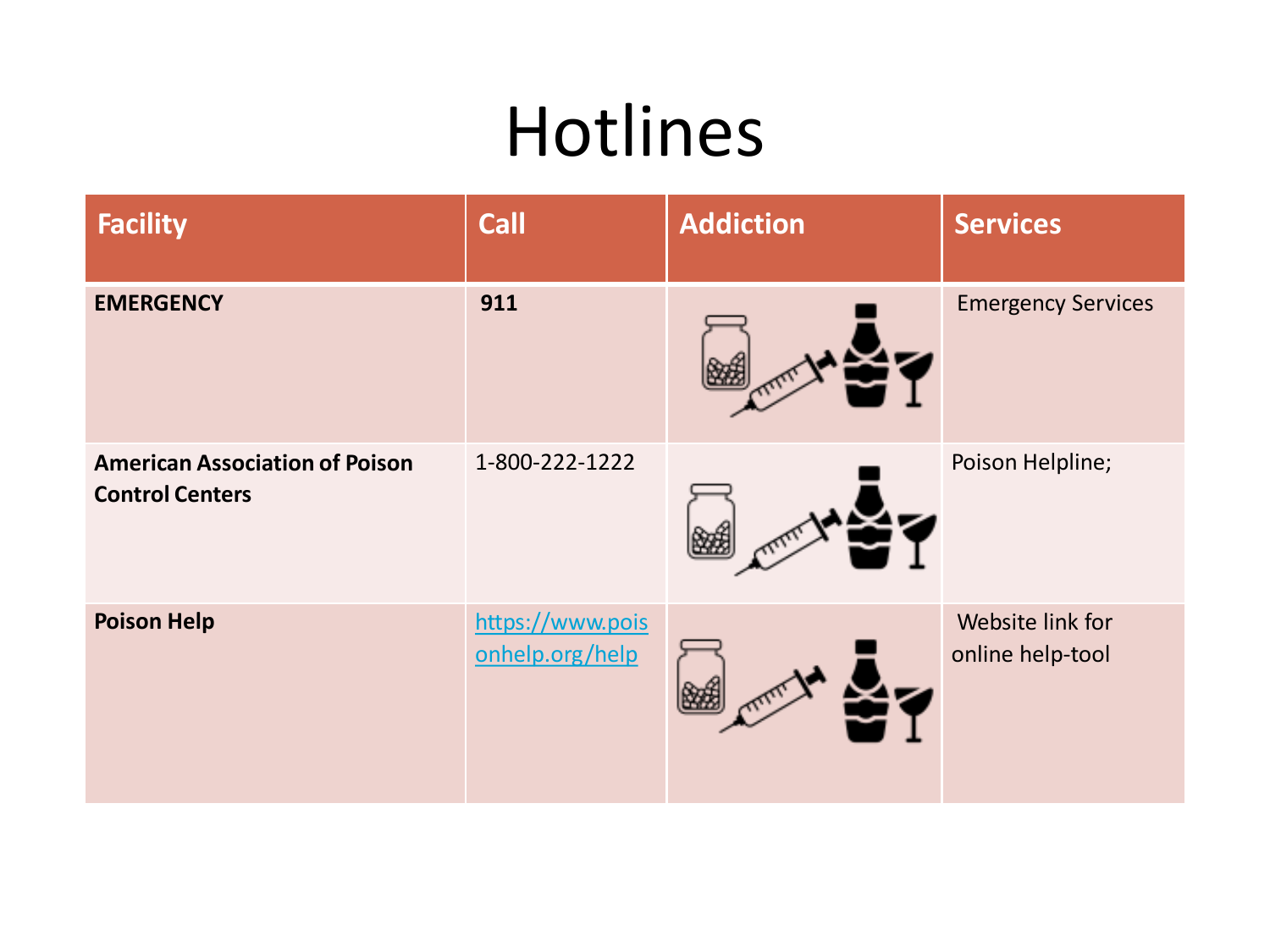| <b>Facility</b>                                                 | <b>Call</b>                         | <b>Addiction</b> | <b>Services</b>                      |
|-----------------------------------------------------------------|-------------------------------------|------------------|--------------------------------------|
| <b>EMERGENCY</b>                                                | 911                                 |                  | <b>Emergency Services</b>            |
| <b>American Association of Poison</b><br><b>Control Centers</b> | 1-800-222-1222                      |                  | Poison Helpline;                     |
| <b>Poison Help</b>                                              | https://www.pois<br>onhelp.org/help |                  | Website link for<br>online help-tool |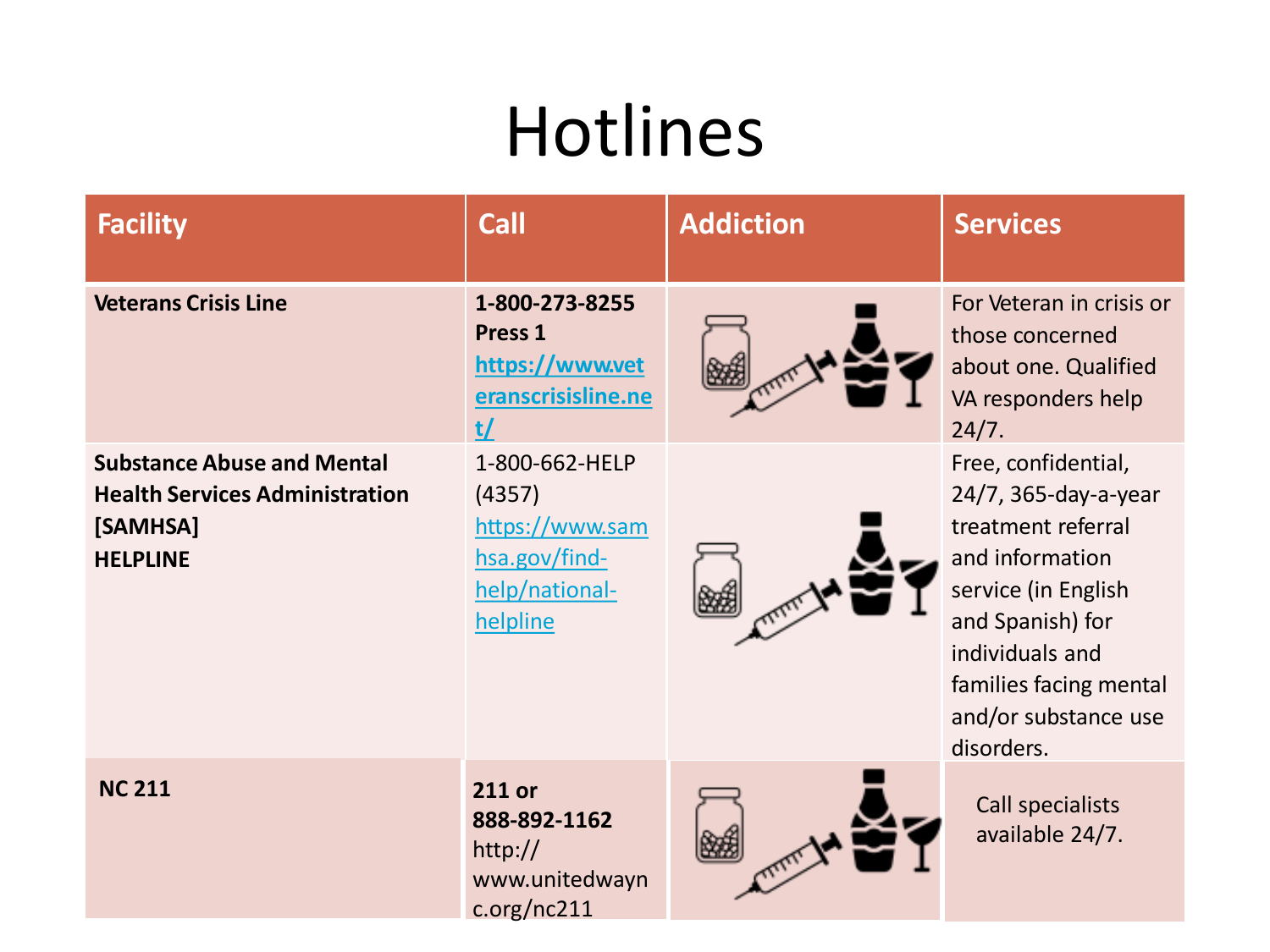| <b>Facility</b>                                                                                           | <b>Call</b>                                                                                | <b>Addiction</b> | <b>Services</b>                                                                                                                                                                                                    |
|-----------------------------------------------------------------------------------------------------------|--------------------------------------------------------------------------------------------|------------------|--------------------------------------------------------------------------------------------------------------------------------------------------------------------------------------------------------------------|
| <b>Veterans Crisis Line</b>                                                                               | 1-800-273-8255<br>Press <sub>1</sub><br>https://www.vet<br>eranscrisisline.ne<br>t/        |                  | For Veteran in crisis or<br>those concerned<br>about one. Qualified<br>VA responders help<br>24/7.                                                                                                                 |
| <b>Substance Abuse and Mental</b><br><b>Health Services Administration</b><br>[SAMHSA]<br><b>HELPLINE</b> | 1-800-662-HELP<br>(4357)<br>https://www.sam<br>hsa.gov/find-<br>help/national-<br>helpline |                  | Free, confidential,<br>24/7, 365-day-a-year<br>treatment referral<br>and information<br>service (in English<br>and Spanish) for<br>individuals and<br>families facing mental<br>and/or substance use<br>disorders. |
| <b>NC 211</b>                                                                                             | 211 or<br>888-892-1162<br>http://<br>www.unitedwayn<br>c.org/nc211                         |                  | Call specialists<br>available 24/7.                                                                                                                                                                                |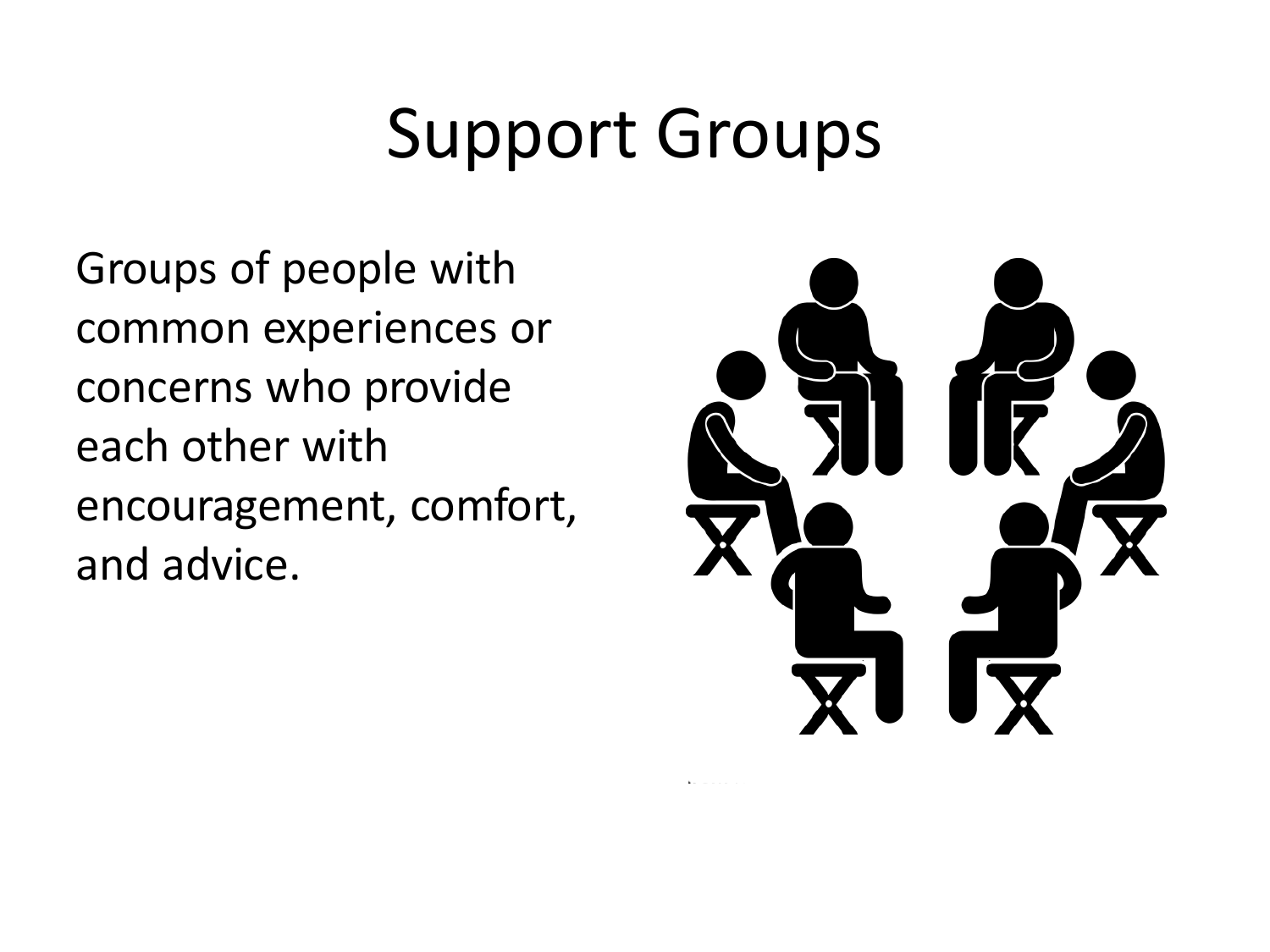Groups of people with common experiences or concerns who provide each other with encouragement, comfort, and advice.

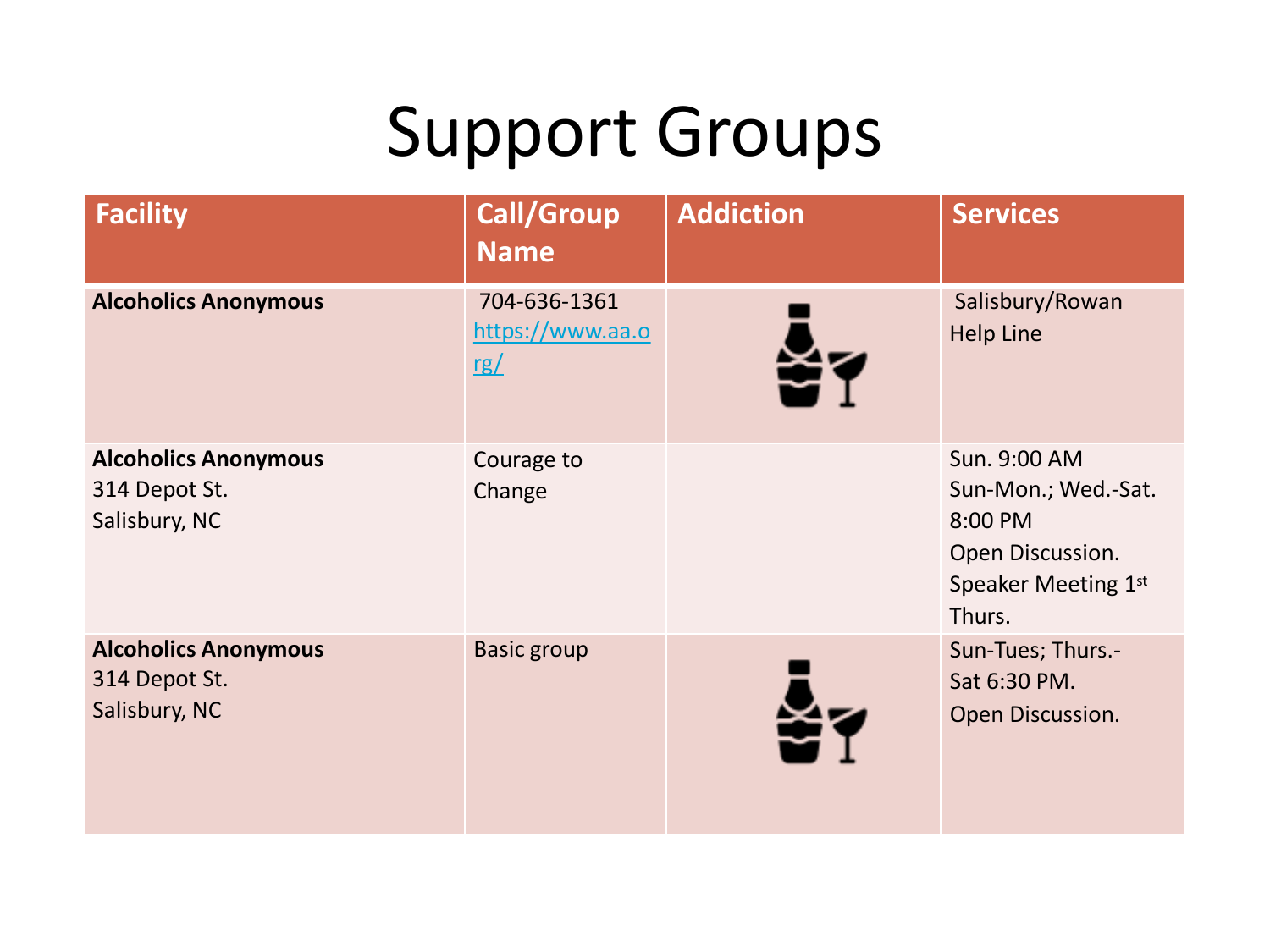| <b>Facility</b>                                               | <b>Call/Group</b><br><b>Name</b>        | <b>Addiction</b> | <b>Services</b>                                                                                     |
|---------------------------------------------------------------|-----------------------------------------|------------------|-----------------------------------------------------------------------------------------------------|
| <b>Alcoholics Anonymous</b>                                   | 704-636-1361<br>https://www.aa.o<br>rg/ | 죽                | Salisbury/Rowan<br><b>Help Line</b>                                                                 |
| <b>Alcoholics Anonymous</b><br>314 Depot St.<br>Salisbury, NC | Courage to<br>Change                    |                  | Sun. 9:00 AM<br>Sun-Mon.; Wed.-Sat.<br>8:00 PM<br>Open Discussion.<br>Speaker Meeting 1st<br>Thurs. |
| <b>Alcoholics Anonymous</b><br>314 Depot St.<br>Salisbury, NC | <b>Basic group</b>                      |                  | Sun-Tues; Thurs.-<br>Sat 6:30 PM.<br>Open Discussion.                                               |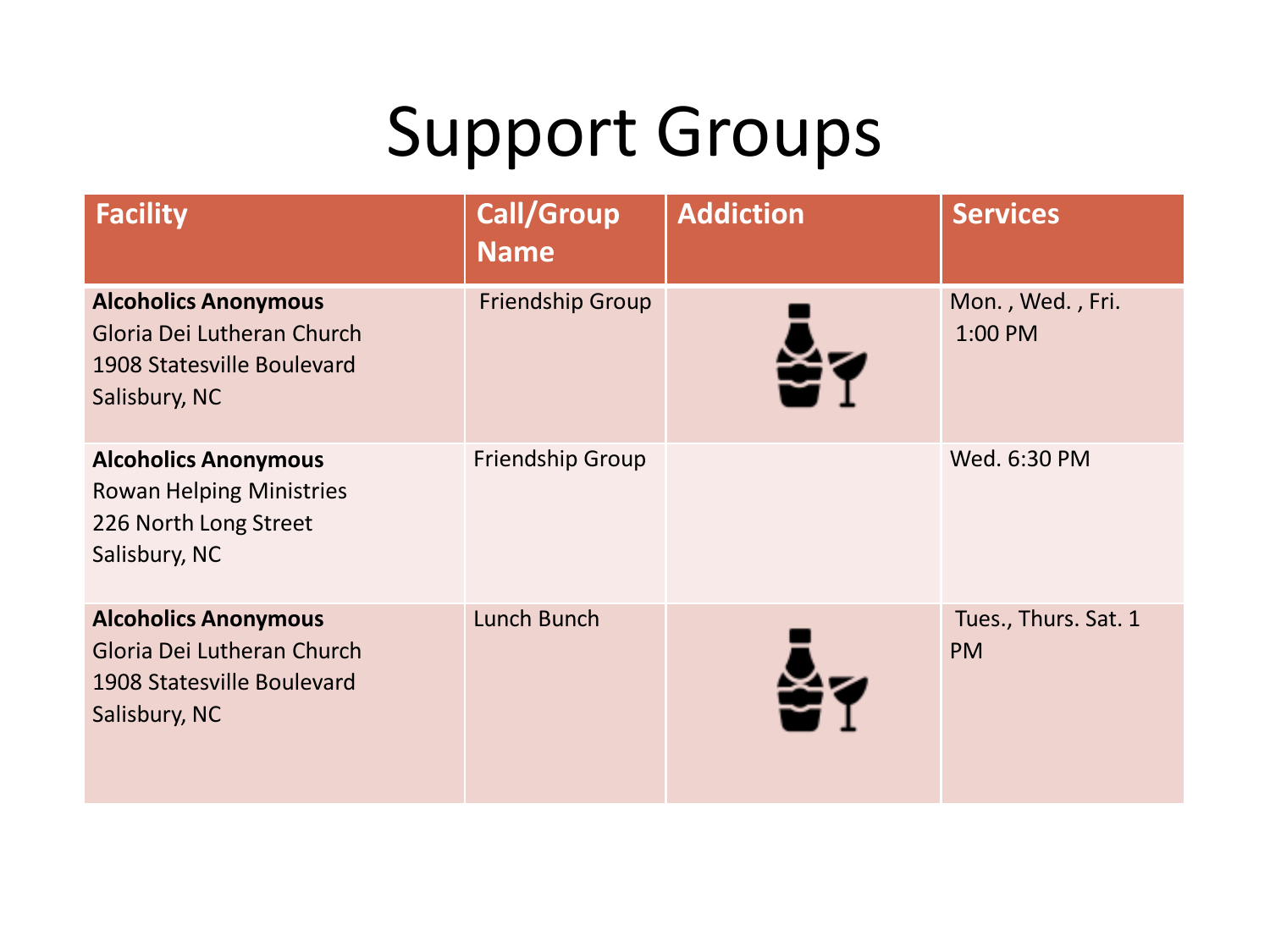| <b>Facility</b>                                                                                          | <b>Call/Group</b><br><b>Name</b> | <b>Addiction</b> | <b>Services</b>                   |
|----------------------------------------------------------------------------------------------------------|----------------------------------|------------------|-----------------------------------|
| <b>Alcoholics Anonymous</b><br>Gloria Dei Lutheran Church<br>1908 Statesville Boulevard<br>Salisbury, NC | <b>Friendship Group</b>          |                  | Mon., Wed., Fri.<br>1:00 PM       |
| <b>Alcoholics Anonymous</b><br><b>Rowan Helping Ministries</b><br>226 North Long Street<br>Salisbury, NC | <b>Friendship Group</b>          |                  | Wed. 6:30 PM                      |
| <b>Alcoholics Anonymous</b><br>Gloria Dei Lutheran Church<br>1908 Statesville Boulevard<br>Salisbury, NC | Lunch Bunch                      | ХZ               | Tues., Thurs. Sat. 1<br><b>PM</b> |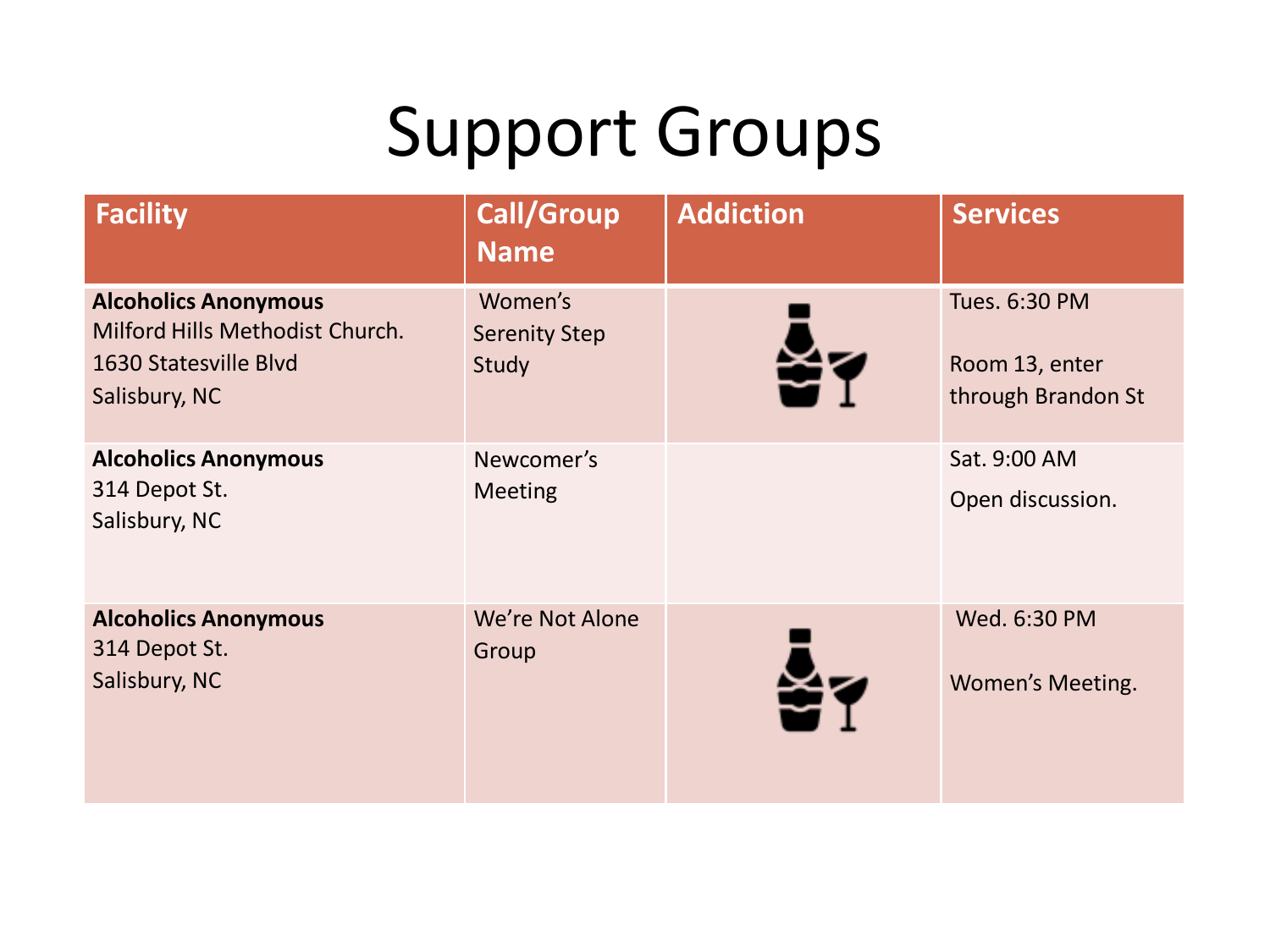| <b>Facility</b>                                                                                          | <b>Call/Group</b><br><b>Name</b>         | <b>Addiction</b> | <b>Services</b>                                       |
|----------------------------------------------------------------------------------------------------------|------------------------------------------|------------------|-------------------------------------------------------|
| <b>Alcoholics Anonymous</b><br>Milford Hills Methodist Church.<br>1630 Statesville Blvd<br>Salisbury, NC | Women's<br><b>Serenity Step</b><br>Study |                  | Tues. 6:30 PM<br>Room 13, enter<br>through Brandon St |
| <b>Alcoholics Anonymous</b><br>314 Depot St.<br>Salisbury, NC                                            | Newcomer's<br><b>Meeting</b>             |                  | Sat. 9:00 AM<br>Open discussion.                      |
| <b>Alcoholics Anonymous</b><br>314 Depot St.<br>Salisbury, NC                                            | We're Not Alone<br>Group                 | XР               | Wed. 6:30 PM<br>Women's Meeting.                      |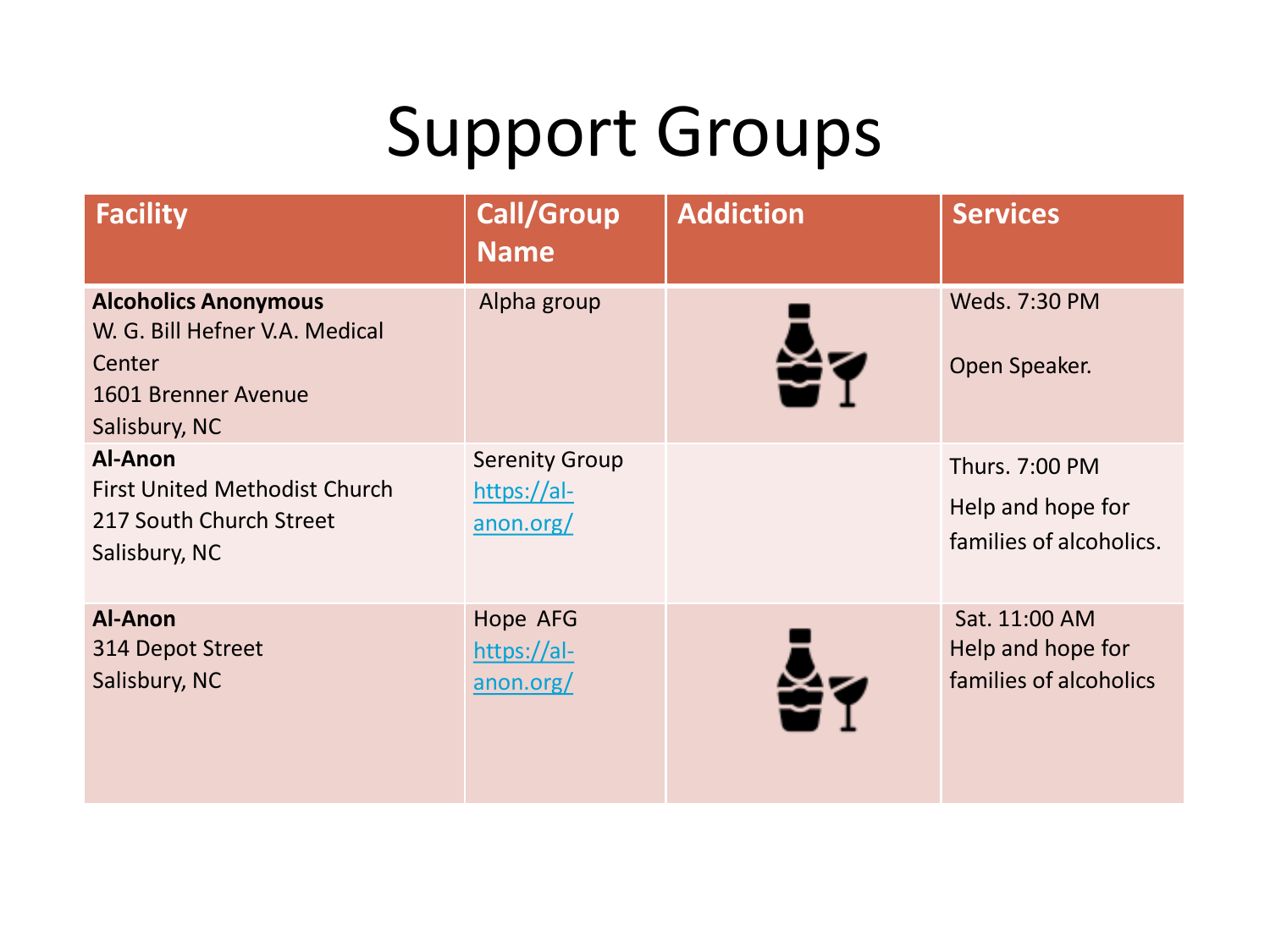| <b>Facility</b>                                                                                                 | <b>Call/Group</b><br><b>Name</b>                  | <b>Addiction</b> | <b>Services</b>                                                |
|-----------------------------------------------------------------------------------------------------------------|---------------------------------------------------|------------------|----------------------------------------------------------------|
| <b>Alcoholics Anonymous</b><br>W. G. Bill Hefner V.A. Medical<br>Center<br>1601 Brenner Avenue<br>Salisbury, NC | Alpha group                                       |                  | Weds. 7:30 PM<br>Open Speaker.                                 |
| Al-Anon<br><b>First United Methodist Church</b><br>217 South Church Street<br>Salisbury, NC                     | <b>Serenity Group</b><br>https://al-<br>anon.org/ |                  | Thurs. 7:00 PM<br>Help and hope for<br>families of alcoholics. |
| <b>Al-Anon</b><br>314 Depot Street<br>Salisbury, NC                                                             | Hope AFG<br>https://al-<br>anon.org/              |                  | Sat. 11:00 AM<br>Help and hope for<br>families of alcoholics   |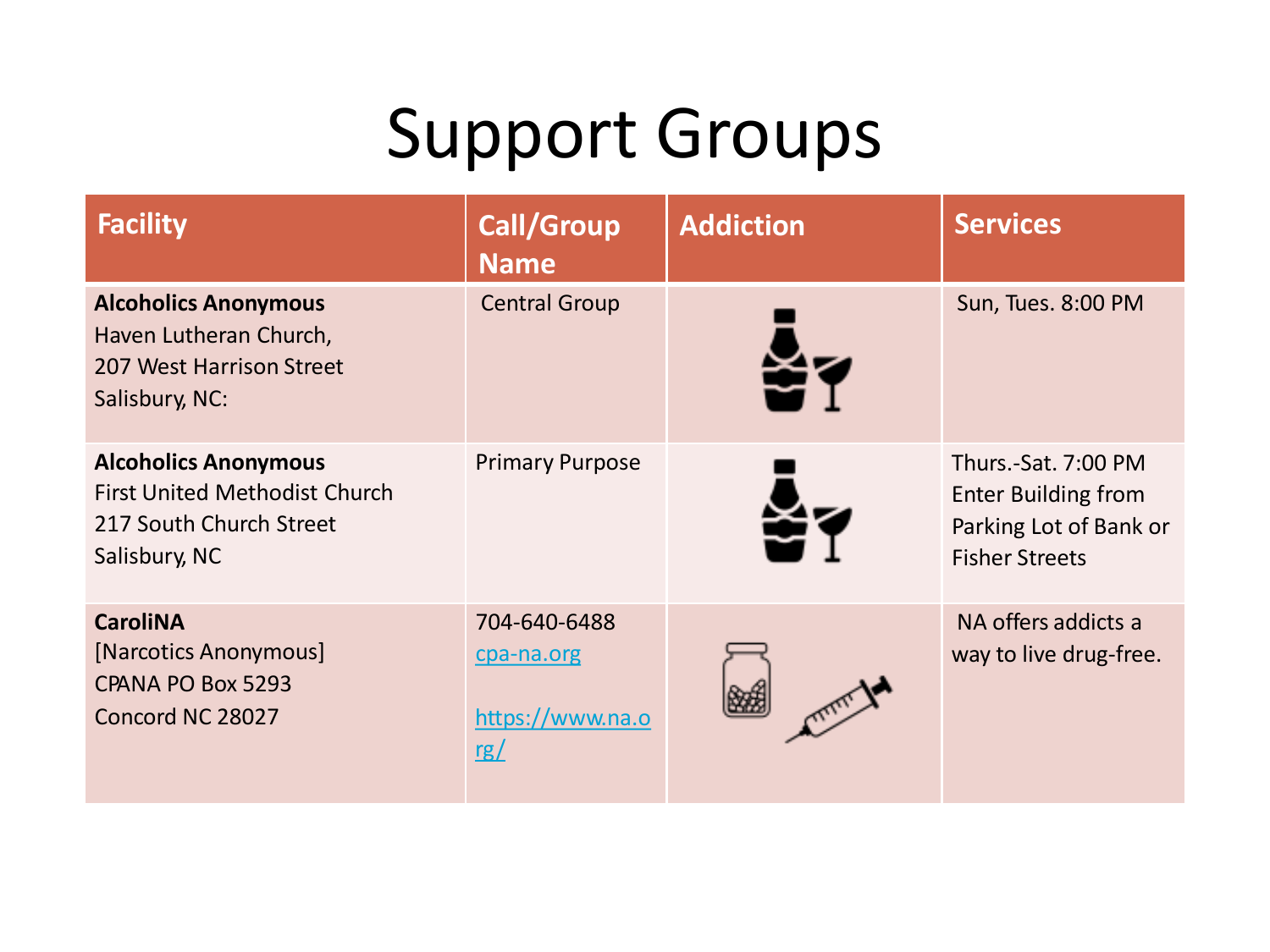| <b>Facility</b>                                                                                                 | <b>Call/Group</b><br><b>Name</b>                      | <b>Addiction</b> | <b>Services</b>                                                                                      |
|-----------------------------------------------------------------------------------------------------------------|-------------------------------------------------------|------------------|------------------------------------------------------------------------------------------------------|
| <b>Alcoholics Anonymous</b><br>Haven Lutheran Church,<br>207 West Harrison Street<br>Salisbury, NC:             | <b>Central Group</b>                                  |                  | Sun, Tues. 8:00 PM                                                                                   |
| <b>Alcoholics Anonymous</b><br><b>First United Methodist Church</b><br>217 South Church Street<br>Salisbury, NC | <b>Primary Purpose</b>                                |                  | Thurs.-Sat. 7:00 PM<br><b>Enter Building from</b><br>Parking Lot of Bank or<br><b>Fisher Streets</b> |
| <b>CaroliNA</b><br>[Narcotics Anonymous]<br>CPANA PO Box 5293<br>Concord NC 28027                               | 704-640-6488<br>cpa-na.org<br>https://www.na.o<br>rg/ |                  | NA offers addicts a<br>way to live drug-free.                                                        |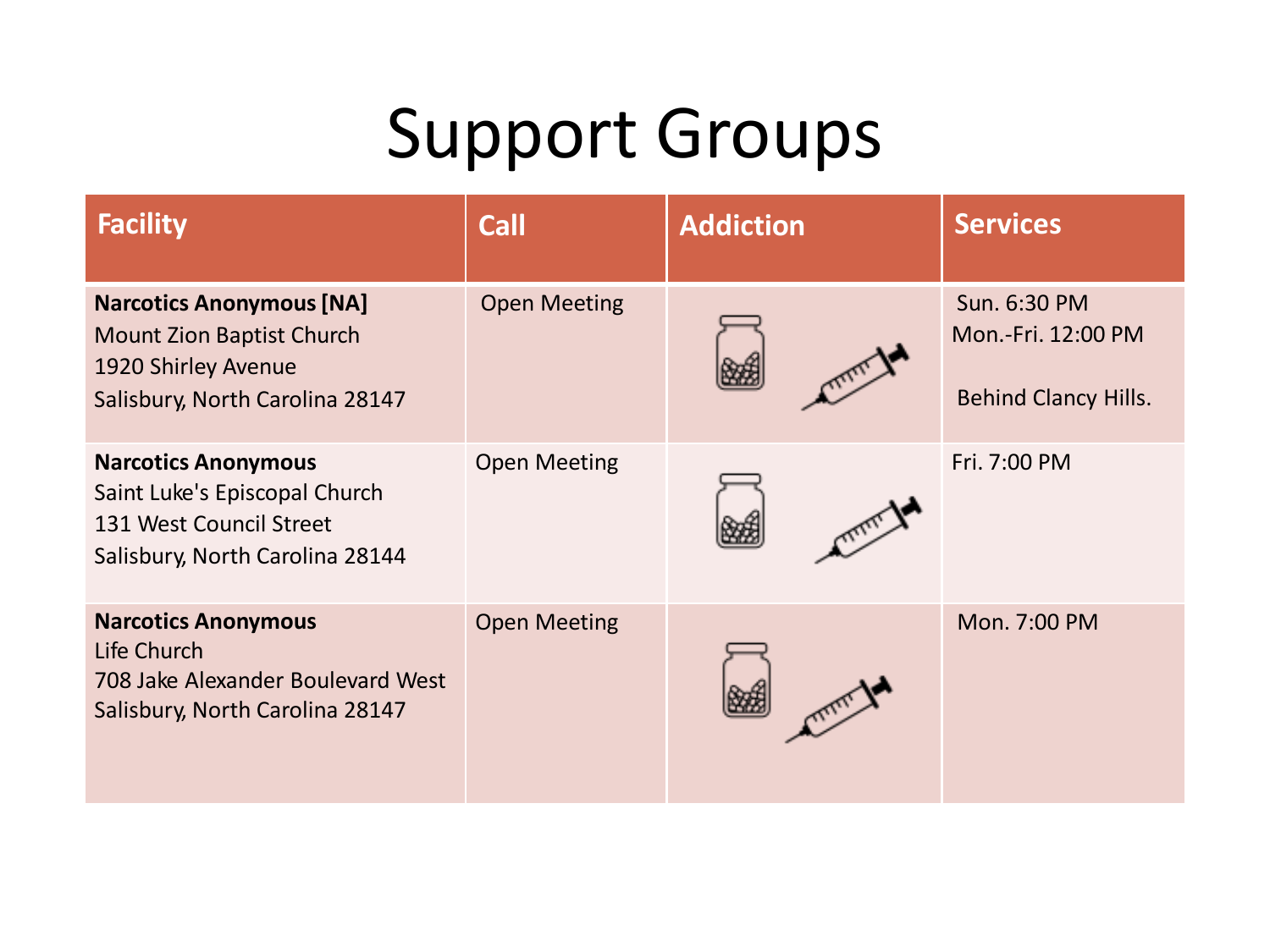| <b>Facility</b>                                                                                                               | <b>Call</b>         | <b>Addiction</b> | <b>Services</b>                                                   |
|-------------------------------------------------------------------------------------------------------------------------------|---------------------|------------------|-------------------------------------------------------------------|
| <b>Narcotics Anonymous [NA]</b><br><b>Mount Zion Baptist Church</b><br>1920 Shirley Avenue<br>Salisbury, North Carolina 28147 | <b>Open Meeting</b> |                  | Sun. 6:30 PM<br>Mon.-Fri. 12:00 PM<br><b>Behind Clancy Hills.</b> |
| <b>Narcotics Anonymous</b><br>Saint Luke's Episcopal Church<br>131 West Council Street<br>Salisbury, North Carolina 28144     | <b>Open Meeting</b> |                  | Fri. 7:00 PM                                                      |
| <b>Narcotics Anonymous</b><br>Life Church<br>708 Jake Alexander Boulevard West<br>Salisbury, North Carolina 28147             | <b>Open Meeting</b> |                  | Mon. 7:00 PM                                                      |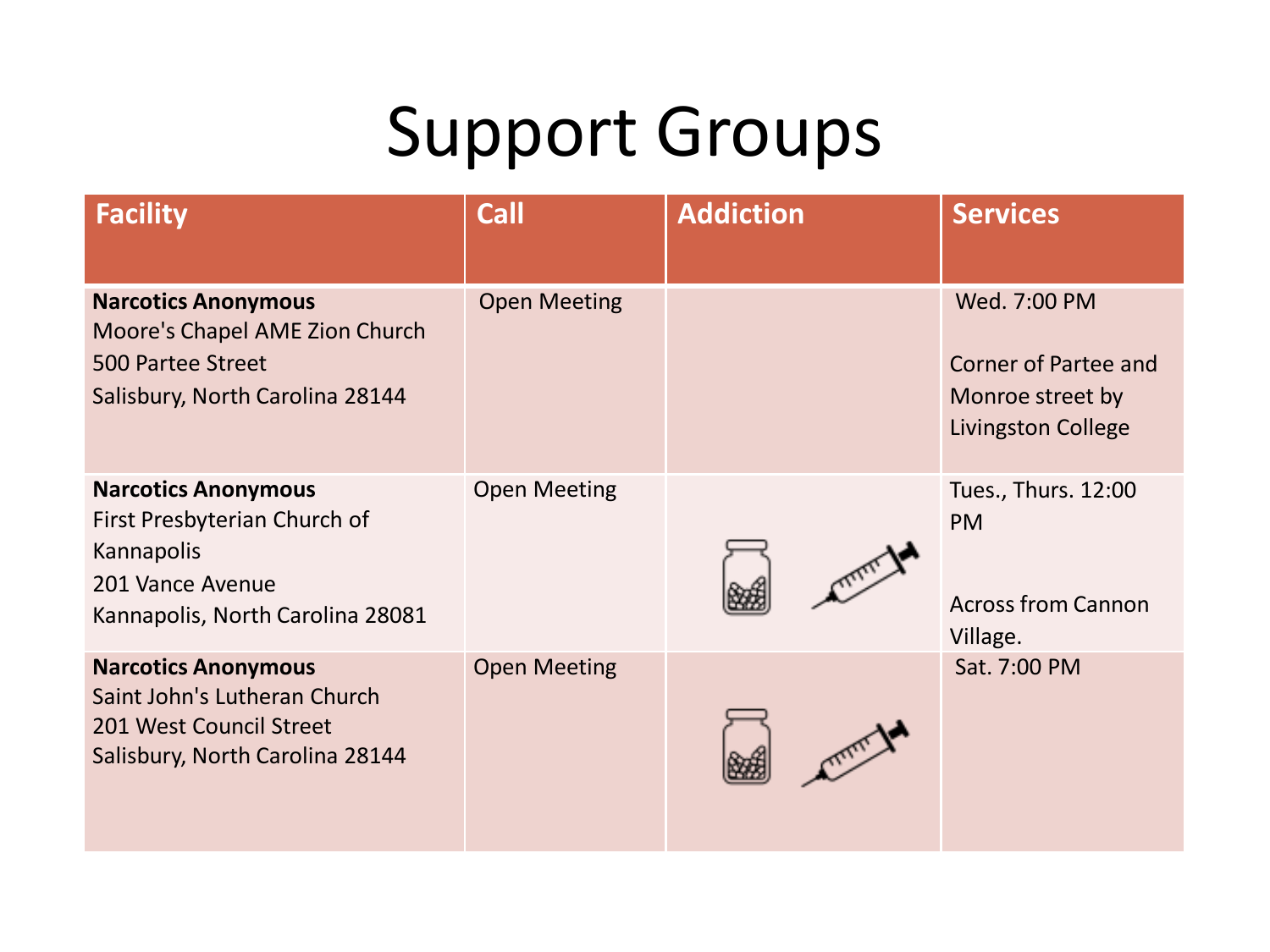| <b>Facility</b>                                                                                                                  | Call                | <b>Addiction</b> | <b>Services</b>                                                                              |
|----------------------------------------------------------------------------------------------------------------------------------|---------------------|------------------|----------------------------------------------------------------------------------------------|
| <b>Narcotics Anonymous</b><br>Moore's Chapel AME Zion Church<br>500 Partee Street<br>Salisbury, North Carolina 28144             | <b>Open Meeting</b> |                  | Wed. 7:00 PM<br><b>Corner of Partee and</b><br>Monroe street by<br><b>Livingston College</b> |
| <b>Narcotics Anonymous</b><br>First Presbyterian Church of<br>Kannapolis<br>201 Vance Avenue<br>Kannapolis, North Carolina 28081 | <b>Open Meeting</b> |                  | Tues., Thurs. 12:00<br><b>PM</b><br><b>Across from Cannon</b><br>Village.                    |
| <b>Narcotics Anonymous</b><br>Saint John's Lutheran Church<br>201 West Council Street<br>Salisbury, North Carolina 28144         | <b>Open Meeting</b> |                  | Sat. 7:00 PM                                                                                 |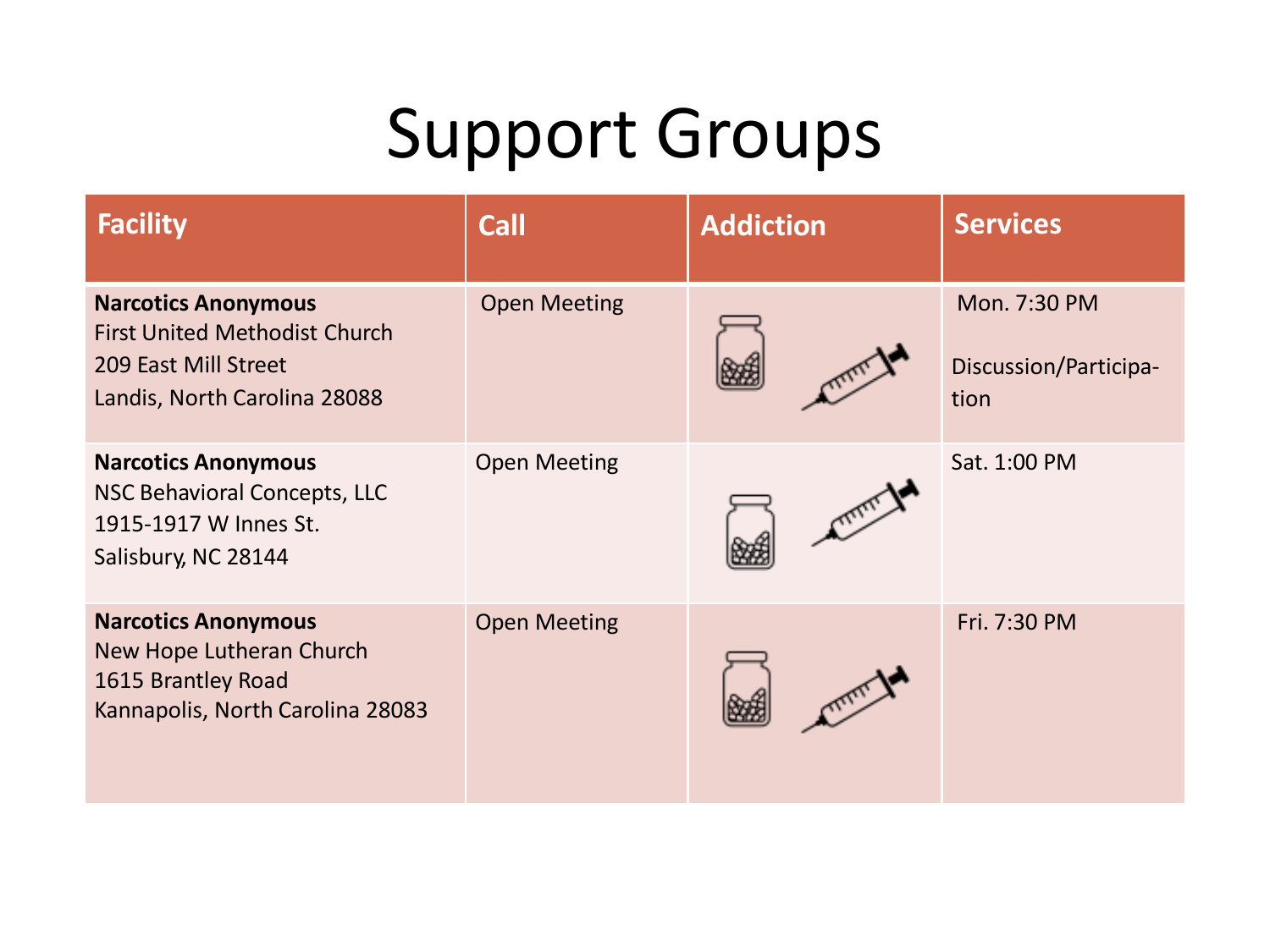| <b>Facility</b>                                                                                                            | <b>Call</b>         | <b>Addiction</b> | <b>Services</b>                               |
|----------------------------------------------------------------------------------------------------------------------------|---------------------|------------------|-----------------------------------------------|
| <b>Narcotics Anonymous</b><br><b>First United Methodist Church</b><br>209 East Mill Street<br>Landis, North Carolina 28088 | <b>Open Meeting</b> |                  | Mon. 7:30 PM<br>Discussion/Participa-<br>tion |
| <b>Narcotics Anonymous</b><br>NSC Behavioral Concepts, LLC<br>1915-1917 W Innes St.<br>Salisbury, NC 28144                 | <b>Open Meeting</b> | CITY             | Sat. 1:00 PM                                  |
| <b>Narcotics Anonymous</b><br>New Hope Lutheran Church<br>1615 Brantley Road<br>Kannapolis, North Carolina 28083           | <b>Open Meeting</b> |                  | Fri. 7:30 PM                                  |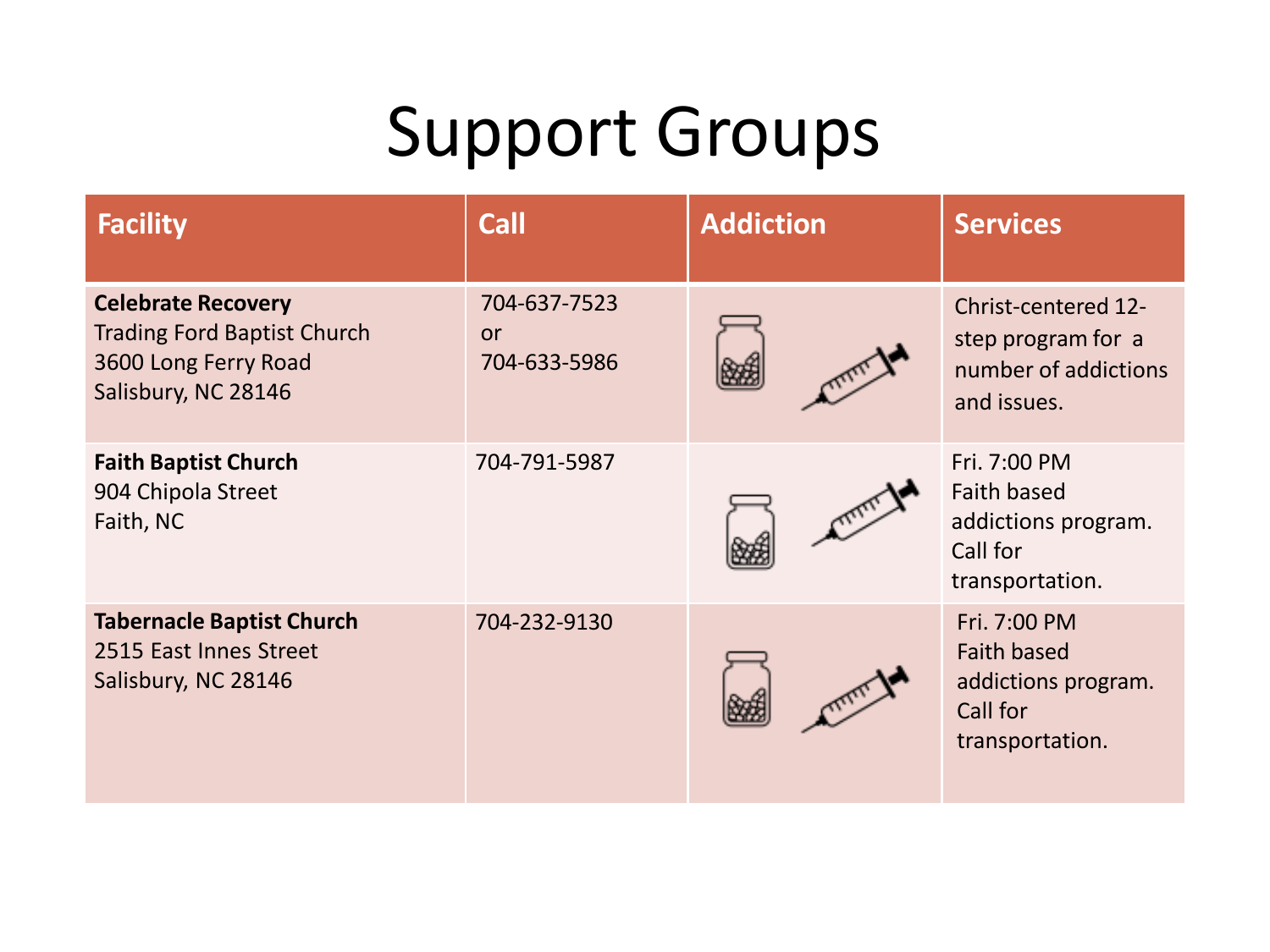| <b>Facility</b>                                                                                                | <b>Call</b>                        | <b>Addiction</b> | <b>Services</b>                                                                          |
|----------------------------------------------------------------------------------------------------------------|------------------------------------|------------------|------------------------------------------------------------------------------------------|
| <b>Celebrate Recovery</b><br><b>Trading Ford Baptist Church</b><br>3600 Long Ferry Road<br>Salisbury, NC 28146 | 704-637-7523<br>or<br>704-633-5986 |                  | <b>Christ-centered 12-</b><br>step program for a<br>number of addictions<br>and issues.  |
| <b>Faith Baptist Church</b><br>904 Chipola Street<br>Faith, NC                                                 | 704-791-5987                       |                  | Fri. 7:00 PM<br><b>Faith based</b><br>addictions program.<br>Call for<br>transportation. |
| <b>Tabernacle Baptist Church</b><br>2515 East Innes Street<br>Salisbury, NC 28146                              | 704-232-9130                       |                  | Fri. 7:00 PM<br><b>Faith based</b><br>addictions program.<br>Call for<br>transportation. |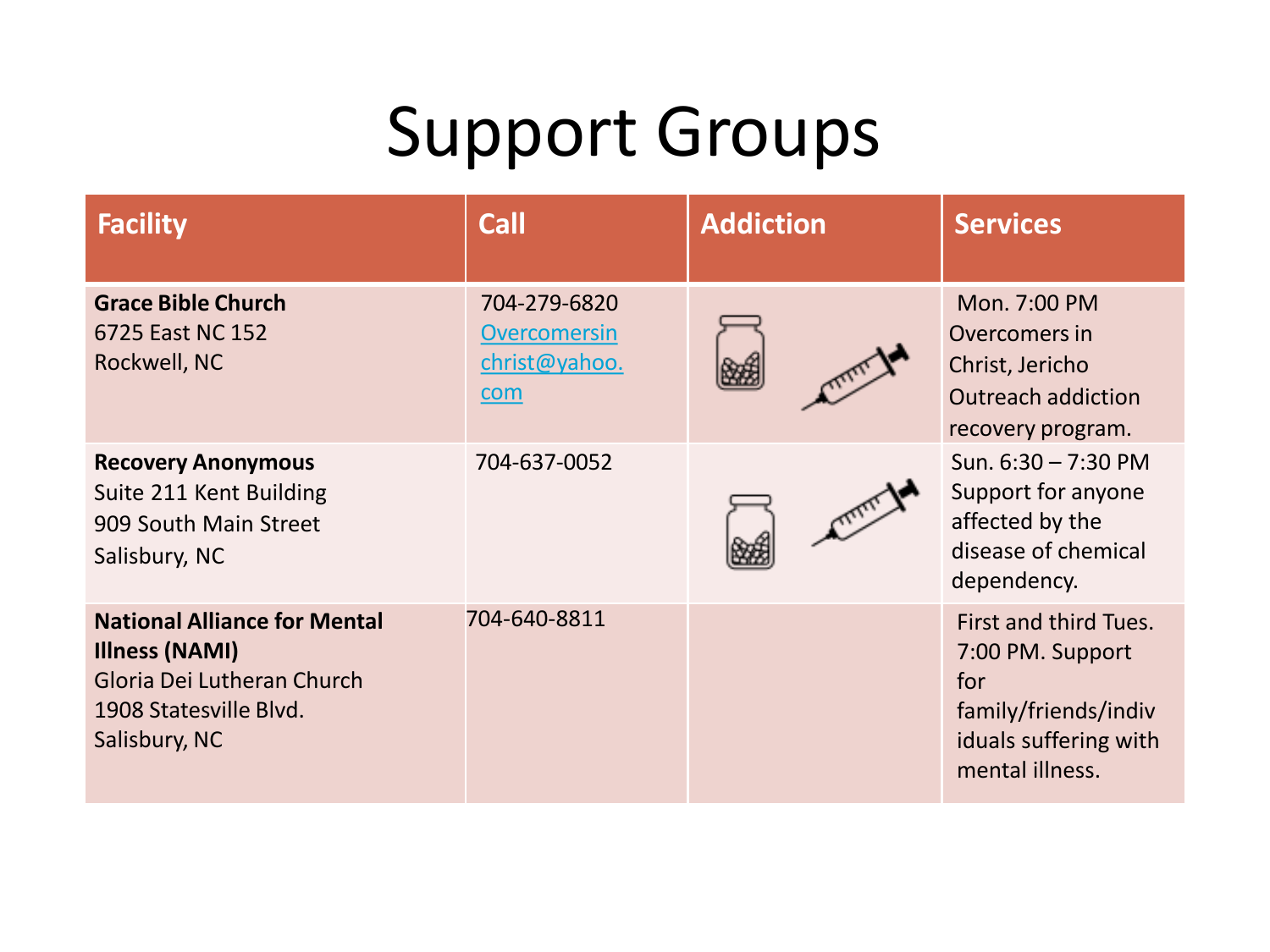| <b>Facility</b>                                                                                                                       | <b>Call</b>                                                 | <b>Addiction</b> | <b>Services</b>                                                                                                      |
|---------------------------------------------------------------------------------------------------------------------------------------|-------------------------------------------------------------|------------------|----------------------------------------------------------------------------------------------------------------------|
| <b>Grace Bible Church</b><br>6725 East NC 152<br>Rockwell, NC                                                                         | 704-279-6820<br><b>Overcomersin</b><br>christ@yahoo.<br>com |                  | Mon. 7:00 PM<br>Overcomers in<br>Christ, Jericho<br><b>Outreach addiction</b><br>recovery program.                   |
| <b>Recovery Anonymous</b><br>Suite 211 Kent Building<br>909 South Main Street<br>Salisbury, NC                                        | 704-637-0052                                                |                  | Sun. $6:30 - 7:30$ PM<br>Support for anyone<br>affected by the<br>disease of chemical<br>dependency.                 |
| <b>National Alliance for Mental</b><br><b>Illness (NAMI)</b><br>Gloria Dei Lutheran Church<br>1908 Statesville Blvd.<br>Salisbury, NC | 704-640-8811                                                |                  | First and third Tues.<br>7:00 PM. Support<br>for<br>family/friends/indiv<br>iduals suffering with<br>mental illness. |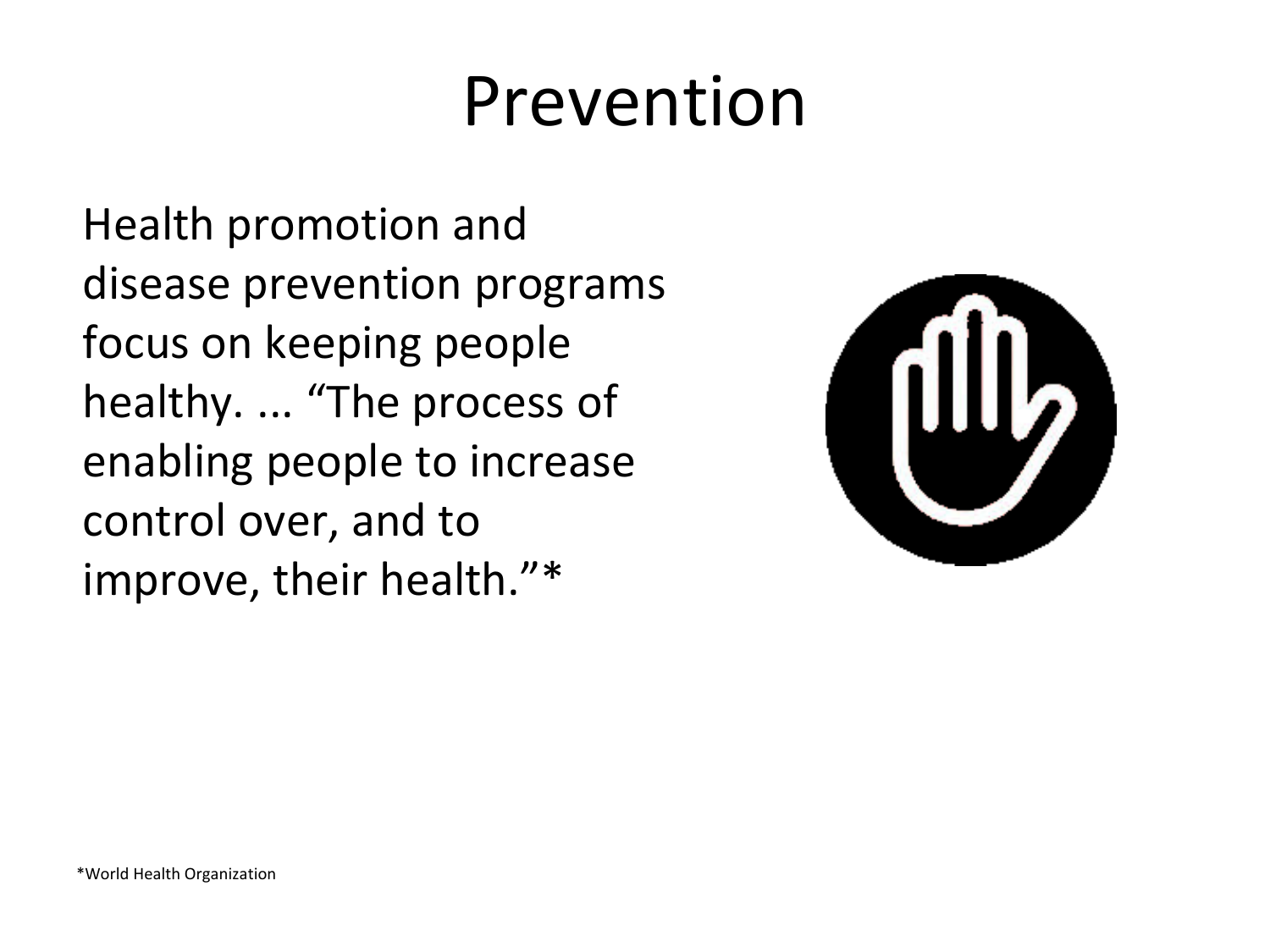## Prevention

Health promotion and disease prevention programs focus on keeping people healthy. ... "The process of enabling people to increase control over, and to improve, their health."\*

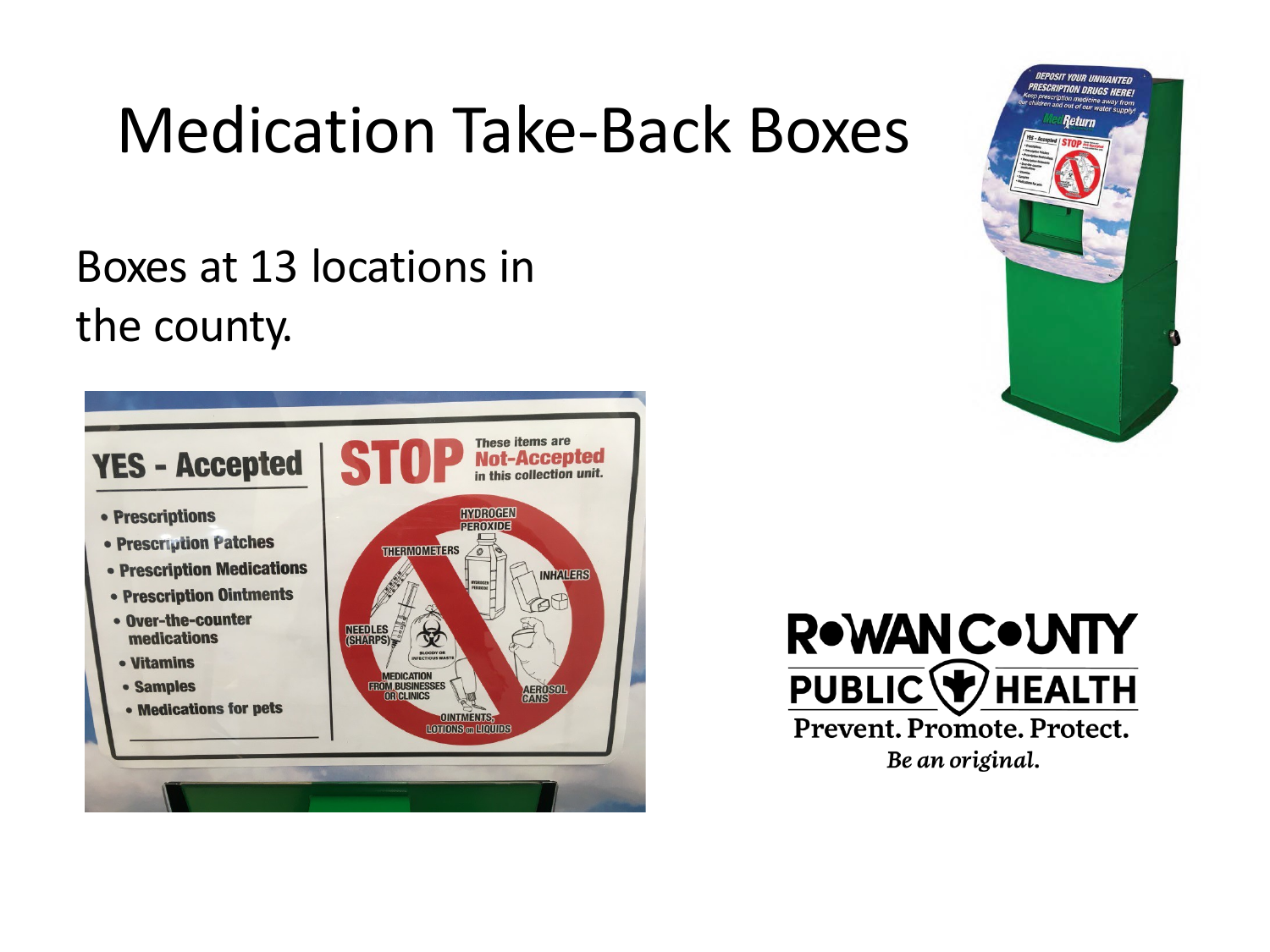## Medication Take-Back Boxes

#### Boxes at 13 locations in the county.







Prevent. Promote. Protect. Be an original.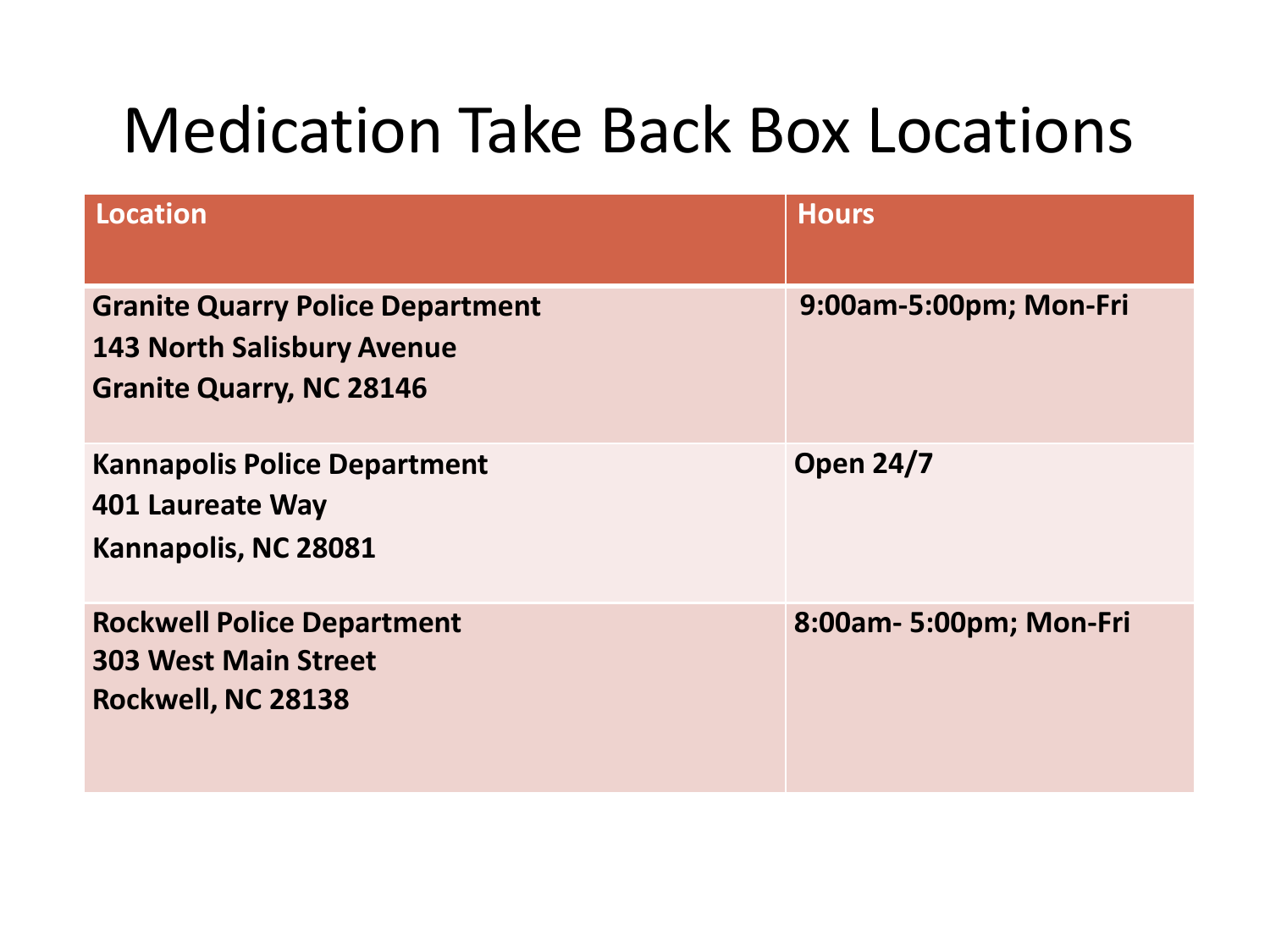| <b>Location</b>                                                                                                 | <b>Hours</b>            |
|-----------------------------------------------------------------------------------------------------------------|-------------------------|
| <b>Granite Quarry Police Department</b><br><b>143 North Salisbury Avenue</b><br><b>Granite Quarry, NC 28146</b> | 9:00am-5:00pm; Mon-Fri  |
| <b>Kannapolis Police Department</b><br>401 Laureate Way<br>Kannapolis, NC 28081                                 | <b>Open 24/7</b>        |
| <b>Rockwell Police Department</b><br><b>303 West Main Street</b><br>Rockwell, NC 28138                          | 8:00am- 5:00pm; Mon-Fri |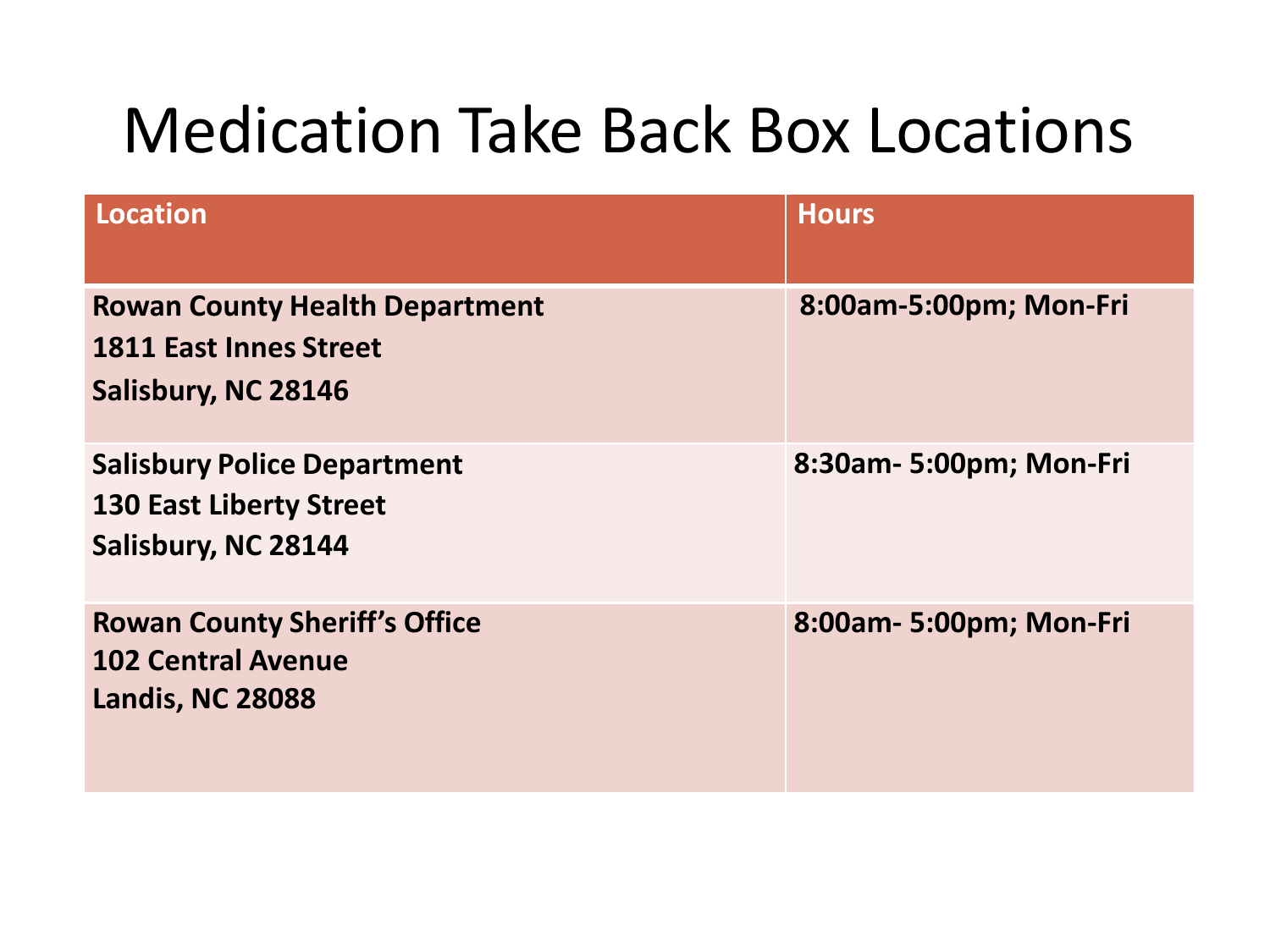| <b>Location</b>                                                                               | <b>Hours</b>            |
|-----------------------------------------------------------------------------------------------|-------------------------|
| <b>Rowan County Health Department</b><br><b>1811 East Innes Street</b><br>Salisbury, NC 28146 | 8:00am-5:00pm; Mon-Fri  |
| <b>Salisbury Police Department</b><br><b>130 East Liberty Street</b><br>Salisbury, NC 28144   | 8:30am- 5:00pm; Mon-Fri |
| <b>Rowan County Sheriff's Office</b><br><b>102 Central Avenue</b><br><b>Landis, NC 28088</b>  | 8:00am- 5:00pm; Mon-Fri |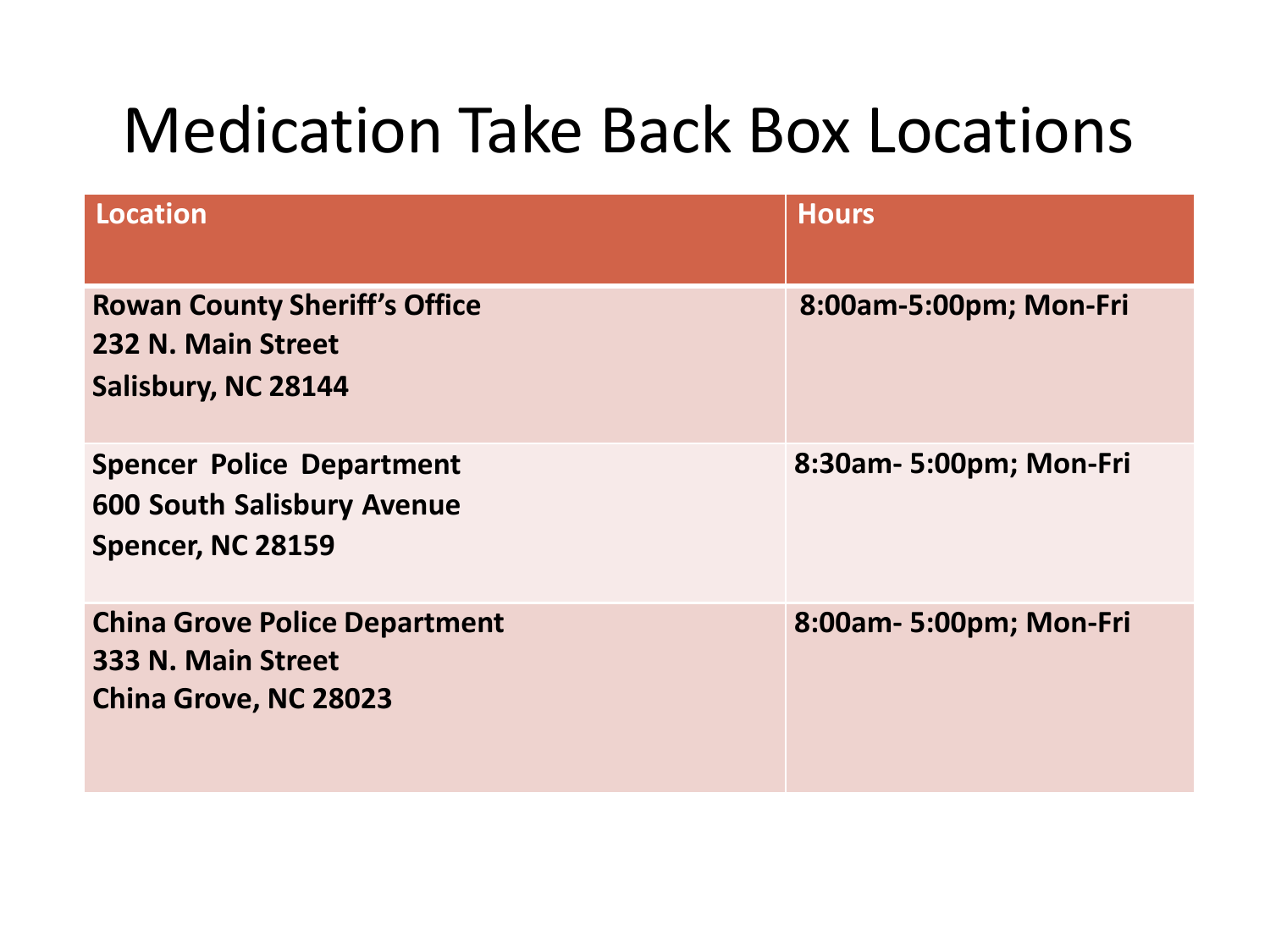| <b>Location</b>                                                                            | <b>Hours</b>            |
|--------------------------------------------------------------------------------------------|-------------------------|
| <b>Rowan County Sheriff's Office</b><br>232 N. Main Street<br>Salisbury, NC 28144          | 8:00am-5:00pm; Mon-Fri  |
| <b>Spencer Police Department</b><br><b>600 South Salisbury Avenue</b><br>Spencer, NC 28159 | 8:30am- 5:00pm; Mon-Fri |
| <b>China Grove Police Department</b><br>333 N. Main Street<br><b>China Grove, NC 28023</b> | 8:00am- 5:00pm; Mon-Fri |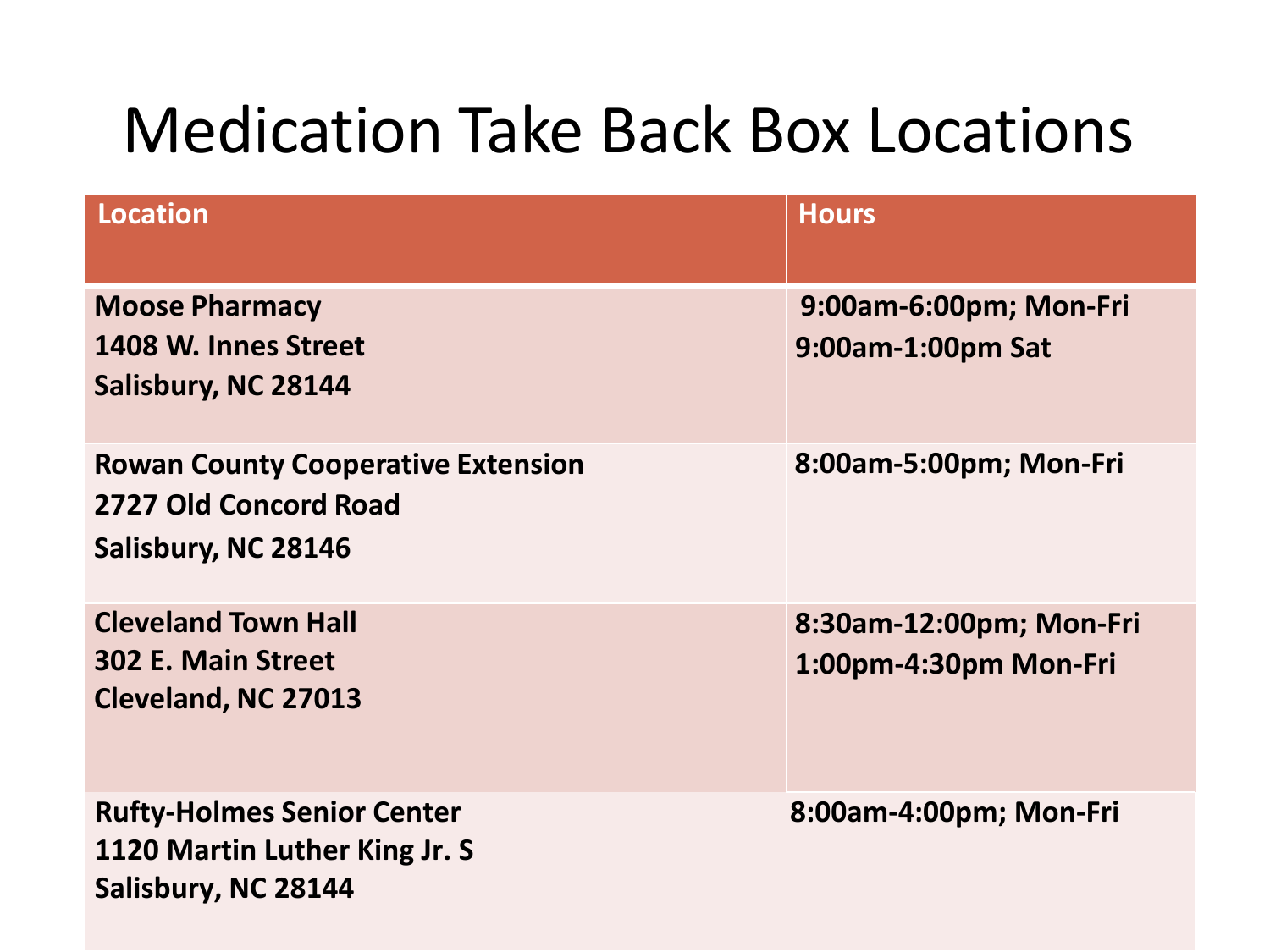| <b>Location</b>                                                                           | <b>Hours</b>                                     |
|-------------------------------------------------------------------------------------------|--------------------------------------------------|
| <b>Moose Pharmacy</b><br>1408 W. Innes Street<br>Salisbury, NC 28144                      | 9:00am-6:00pm; Mon-Fri<br>9:00am-1:00pm Sat      |
| <b>Rowan County Cooperative Extension</b><br>2727 Old Concord Road<br>Salisbury, NC 28146 | 8:00am-5:00pm; Mon-Fri                           |
| <b>Cleveland Town Hall</b><br>302 E. Main Street<br>Cleveland, NC 27013                   | 8:30am-12:00pm; Mon-Fri<br>1:00pm-4:30pm Mon-Fri |
| <b>Rufty-Holmes Senior Center</b><br>1120 Martin Luther King Jr. S<br>Salisbury, NC 28144 | 8:00am-4:00pm; Mon-Fri                           |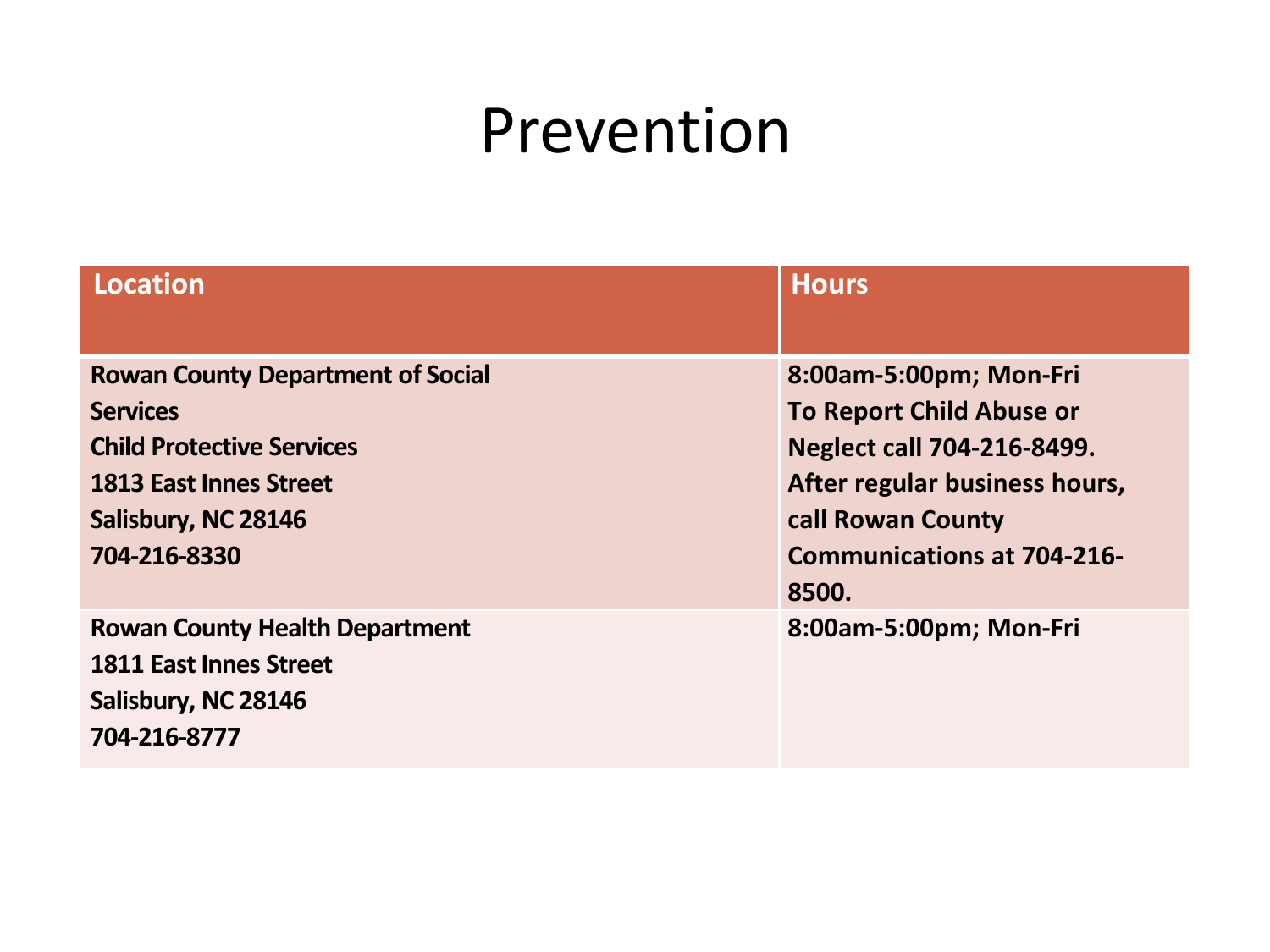#### Prevention

| Location                                 | <b>Hours</b>                      |
|------------------------------------------|-----------------------------------|
|                                          |                                   |
| <b>Rowan County Department of Social</b> | 8:00am-5:00pm; Mon-Fri            |
| <b>Services</b>                          | <b>To Report Child Abuse or</b>   |
| <b>Child Protective Services</b>         | <b>Neglect call 704-216-8499.</b> |
| <b>1813 East Innes Street</b>            | After regular business hours,     |
| Salisbury, NC 28146                      | call Rowan County                 |
| 704-216-8330                             | <b>Communications at 704-216-</b> |
|                                          | 8500.                             |
| <b>Rowan County Health Department</b>    | 8:00am-5:00pm; Mon-Fri            |
| <b>1811 East Innes Street</b>            |                                   |
| Salisbury, NC 28146                      |                                   |
| 704-216-8777                             |                                   |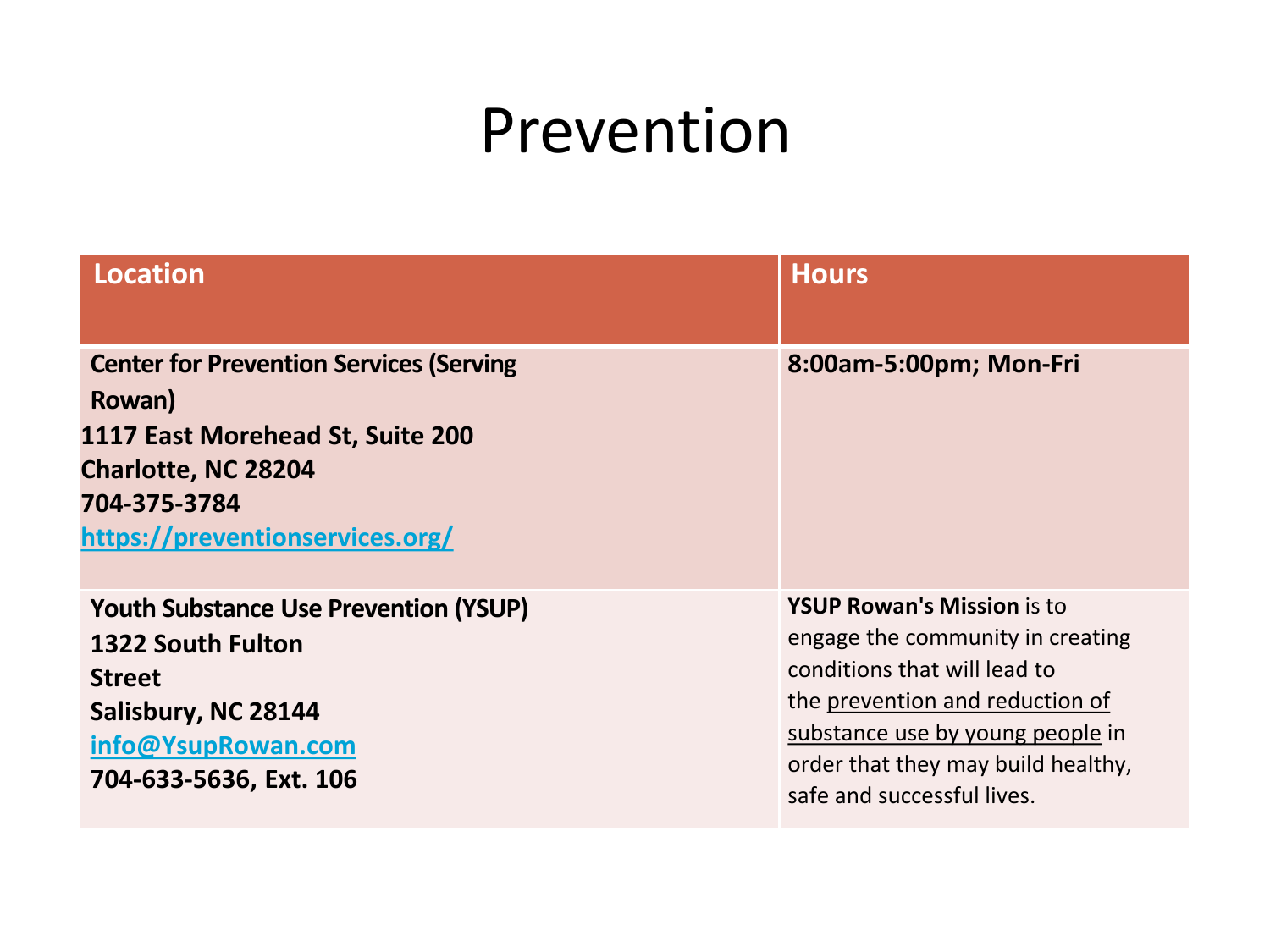#### Prevention

| Location                                                                                                                                                               | <b>Hours</b>                                                                                                                                                                                                                                     |
|------------------------------------------------------------------------------------------------------------------------------------------------------------------------|--------------------------------------------------------------------------------------------------------------------------------------------------------------------------------------------------------------------------------------------------|
|                                                                                                                                                                        |                                                                                                                                                                                                                                                  |
| <b>Center for Prevention Services (Serving</b><br>Rowan)<br>1117 East Morehead St, Suite 200<br>Charlotte, NC 28204<br>704-375-3784<br>https://preventionservices.org/ | 8:00am-5:00pm; Mon-Fri                                                                                                                                                                                                                           |
| <b>Youth Substance Use Prevention (YSUP)</b><br>1322 South Fulton<br><b>Street</b><br>Salisbury, NC 28144<br>info@YsupRowan.com<br>704-633-5636, Ext. 106              | <b>YSUP Rowan's Mission is to</b><br>engage the community in creating<br>conditions that will lead to<br>the prevention and reduction of<br>substance use by young people in<br>order that they may build healthy,<br>safe and successful lives. |